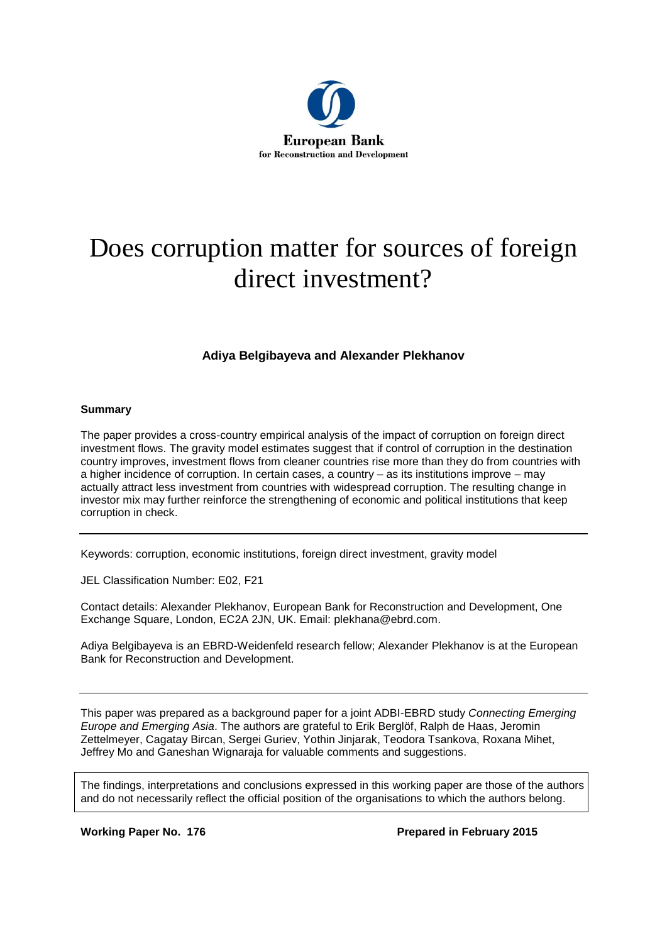

# Does corruption matter for sources of foreign direct investment?

#### **Adiya Belgibayeva and Alexander Plekhanov**

#### **Summary**

The paper provides a cross-country empirical analysis of the impact of corruption on foreign direct investment flows. The gravity model estimates suggest that if control of corruption in the destination country improves, investment flows from cleaner countries rise more than they do from countries with a higher incidence of corruption. In certain cases, a country – as its institutions improve – may actually attract less investment from countries with widespread corruption. The resulting change in investor mix may further reinforce the strengthening of economic and political institutions that keep corruption in check.

Keywords: corruption, economic institutions, foreign direct investment, gravity model

JEL Classification Number: E02, F21

Contact details: Alexander Plekhanov, European Bank for Reconstruction and Development, One Exchange Square, London, EC2A 2JN, UK. Email: plekhana@ebrd.com.

Adiya Belgibayeva is an EBRD-Weidenfeld research fellow; Alexander Plekhanov is at the European Bank for Reconstruction and Development.

This paper was prepared as a background paper for a joint ADBI-EBRD study *Connecting Emerging Europe and Emerging Asia*. The authors are grateful to Erik Berglöf, Ralph de Haas, Jeromin Zettelmeyer, Cagatay Bircan, Sergei Guriev, Yothin Jinjarak, Teodora Tsankova, Roxana Mihet, Jeffrey Mo and Ganeshan Wignaraja for valuable comments and suggestions.

The findings, interpretations and conclusions expressed in this working paper are those of the authors and do not necessarily reflect the official position of the organisations to which the authors belong.

**Working Paper No. 176 Prepared in February 2015**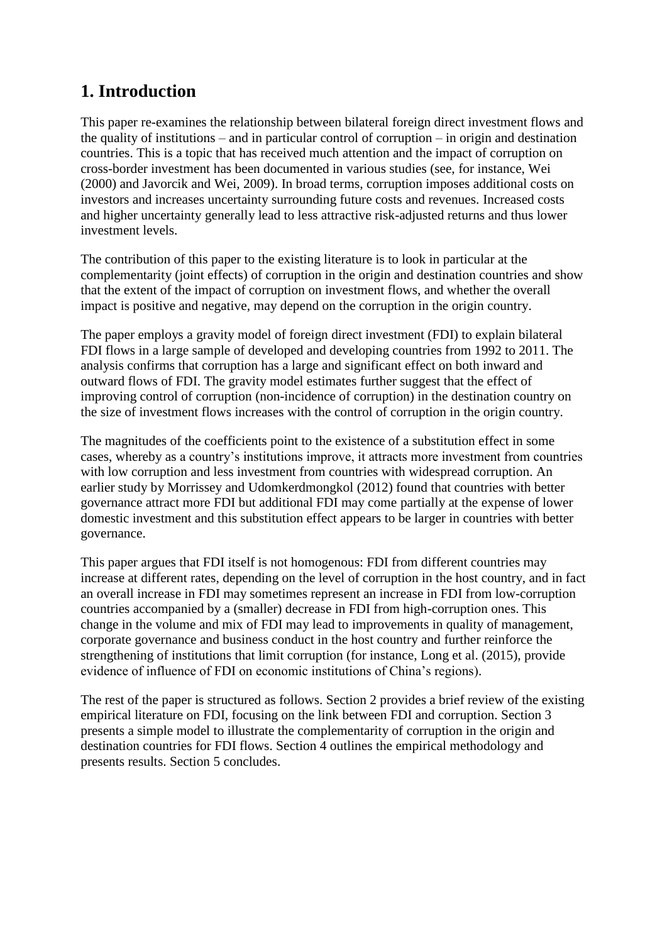# **1. Introduction**

This paper re-examines the relationship between bilateral foreign direct investment flows and the quality of institutions – and in particular control of corruption – in origin and destination countries. This is a topic that has received much attention and the impact of corruption on cross-border investment has been documented in various studies (see, for instance, Wei (2000) and Javorcik and Wei, 2009). In broad terms, corruption imposes additional costs on investors and increases uncertainty surrounding future costs and revenues. Increased costs and higher uncertainty generally lead to less attractive risk-adjusted returns and thus lower investment levels.

The contribution of this paper to the existing literature is to look in particular at the complementarity (joint effects) of corruption in the origin and destination countries and show that the extent of the impact of corruption on investment flows, and whether the overall impact is positive and negative, may depend on the corruption in the origin country.

The paper employs a gravity model of foreign direct investment (FDI) to explain bilateral FDI flows in a large sample of developed and developing countries from 1992 to 2011. The analysis confirms that corruption has a large and significant effect on both inward and outward flows of FDI. The gravity model estimates further suggest that the effect of improving control of corruption (non-incidence of corruption) in the destination country on the size of investment flows increases with the control of corruption in the origin country.

The magnitudes of the coefficients point to the existence of a substitution effect in some cases, whereby as a country's institutions improve, it attracts more investment from countries with low corruption and less investment from countries with widespread corruption. An earlier study by Morrissey and Udomkerdmongkol (2012) found that countries with better governance attract more FDI but additional FDI may come partially at the expense of lower domestic investment and this substitution effect appears to be larger in countries with better governance.

This paper argues that FDI itself is not homogenous: FDI from different countries may increase at different rates, depending on the level of corruption in the host country, and in fact an overall increase in FDI may sometimes represent an increase in FDI from low-corruption countries accompanied by a (smaller) decrease in FDI from high-corruption ones. This change in the volume and mix of FDI may lead to improvements in quality of management, corporate governance and business conduct in the host country and further reinforce the strengthening of institutions that limit corruption (for instance, Long et al. (2015), provide evidence of influence of FDI on economic institutions of China's regions).

The rest of the paper is structured as follows. Section 2 provides a brief review of the existing empirical literature on FDI, focusing on the link between FDI and corruption. Section 3 presents a simple model to illustrate the complementarity of corruption in the origin and destination countries for FDI flows. Section 4 outlines the empirical methodology and presents results. Section 5 concludes.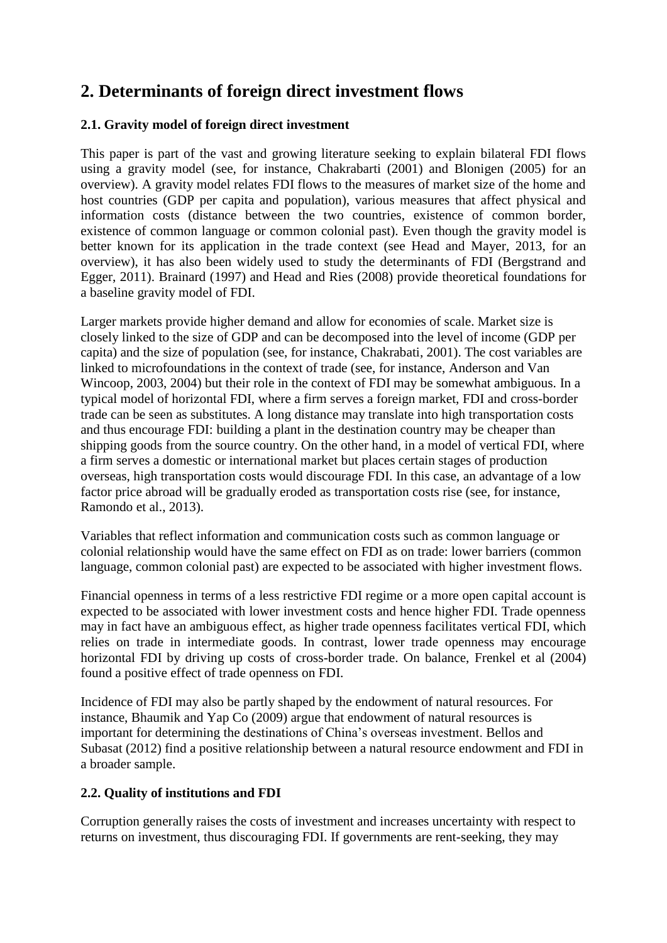# **2. Determinants of foreign direct investment flows**

### **2.1. Gravity model of foreign direct investment**

This paper is part of the vast and growing literature seeking to explain bilateral FDI flows using a gravity model (see, for instance, Chakrabarti (2001) and Blonigen (2005) for an overview). A gravity model relates FDI flows to the measures of market size of the home and host countries (GDP per capita and population), various measures that affect physical and information costs (distance between the two countries, existence of common border, existence of common language or common colonial past). Even though the gravity model is better known for its application in the trade context (see Head and Mayer, 2013, for an overview), it has also been widely used to study the determinants of FDI (Bergstrand and Egger, 2011). Brainard (1997) and Head and Ries (2008) provide theoretical foundations for a baseline gravity model of FDI.

Larger markets provide higher demand and allow for economies of scale. Market size is closely linked to the size of GDP and can be decomposed into the level of income (GDP per capita) and the size of population (see, for instance, Chakrabati, 2001). The cost variables are linked to microfoundations in the context of trade (see, for instance, Anderson and Van Wincoop, 2003, 2004) but their role in the context of FDI may be somewhat ambiguous. In a typical model of horizontal FDI, where a firm serves a foreign market, FDI and cross-border trade can be seen as substitutes. A long distance may translate into high transportation costs and thus encourage FDI: building a plant in the destination country may be cheaper than shipping goods from the source country. On the other hand, in a model of vertical FDI, where a firm serves a domestic or international market but places certain stages of production overseas, high transportation costs would discourage FDI. In this case, an advantage of a low factor price abroad will be gradually eroded as transportation costs rise (see, for instance, Ramondo et al., 2013).

Variables that reflect information and communication costs such as common language or colonial relationship would have the same effect on FDI as on trade: lower barriers (common language, common colonial past) are expected to be associated with higher investment flows.

Financial openness in terms of a less restrictive FDI regime or a more open capital account is expected to be associated with lower investment costs and hence higher FDI. Trade openness may in fact have an ambiguous effect, as higher trade openness facilitates vertical FDI, which relies on trade in intermediate goods. In contrast, lower trade openness may encourage horizontal FDI by driving up costs of cross-border trade. On balance, Frenkel et al (2004) found a positive effect of trade openness on FDI.

Incidence of FDI may also be partly shaped by the endowment of natural resources. For instance, Bhaumik and Yap Co (2009) argue that endowment of natural resources is important for determining the destinations of China's overseas investment. Bellos and Subasat (2012) find a positive relationship between a natural resource endowment and FDI in a broader sample.

### **2.2. Quality of institutions and FDI**

Corruption generally raises the costs of investment and increases uncertainty with respect to returns on investment, thus discouraging FDI. If governments are rent-seeking, they may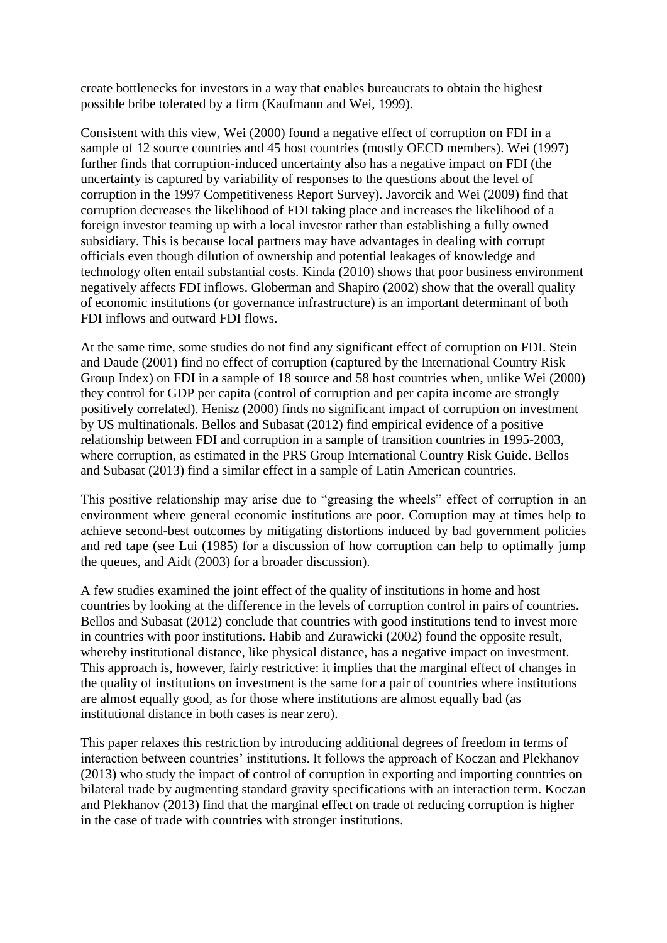create bottlenecks for investors in a way that enables bureaucrats to obtain the highest possible bribe tolerated by a firm (Kaufmann and Wei, 1999).

Consistent with this view, Wei (2000) found a negative effect of corruption on FDI in a sample of 12 source countries and 45 host countries (mostly OECD members). Wei (1997) further finds that corruption-induced uncertainty also has a negative impact on FDI (the uncertainty is captured by variability of responses to the questions about the level of corruption in the 1997 Competitiveness Report Survey). Javorcik and Wei (2009) find that corruption decreases the likelihood of FDI taking place and increases the likelihood of a foreign investor teaming up with a local investor rather than establishing a fully owned subsidiary. This is because local partners may have advantages in dealing with corrupt officials even though dilution of ownership and potential leakages of knowledge and technology often entail substantial costs. Kinda (2010) shows that poor business environment negatively affects FDI inflows. Globerman and Shapiro (2002) show that the overall quality of economic institutions (or governance infrastructure) is an important determinant of both FDI inflows and outward FDI flows.

At the same time, some studies do not find any significant effect of corruption on FDI. Stein and Daude (2001) find no effect of corruption (captured by the International Country Risk Group Index) on FDI in a sample of 18 source and 58 host countries when, unlike Wei (2000) they control for GDP per capita (control of corruption and per capita income are strongly positively correlated). Henisz (2000) finds no significant impact of corruption on investment by US multinationals. Bellos and Subasat (2012) find empirical evidence of a positive relationship between FDI and corruption in a sample of transition countries in 1995-2003, where corruption, as estimated in the PRS Group International Country Risk Guide. Bellos and Subasat (2013) find a similar effect in a sample of Latin American countries.

This positive relationship may arise due to "greasing the wheels" effect of corruption in an environment where general economic institutions are poor. Corruption may at times help to achieve second-best outcomes by mitigating distortions induced by bad government policies and red tape (see Lui (1985) for a discussion of how corruption can help to optimally jump the queues, and Aidt (2003) for a broader discussion).

A few studies examined the joint effect of the quality of institutions in home and host countries by looking at the difference in the levels of corruption control in pairs of countries**.**  Bellos and Subasat (2012) conclude that countries with good institutions tend to invest more in countries with poor institutions. Habib and Zurawicki (2002) found the opposite result, whereby institutional distance, like physical distance, has a negative impact on investment. This approach is, however, fairly restrictive: it implies that the marginal effect of changes in the quality of institutions on investment is the same for a pair of countries where institutions are almost equally good, as for those where institutions are almost equally bad (as institutional distance in both cases is near zero).

This paper relaxes this restriction by introducing additional degrees of freedom in terms of interaction between countries' institutions. It follows the approach of Koczan and Plekhanov (2013) who study the impact of control of corruption in exporting and importing countries on bilateral trade by augmenting standard gravity specifications with an interaction term. Koczan and Plekhanov (2013) find that the marginal effect on trade of reducing corruption is higher in the case of trade with countries with stronger institutions.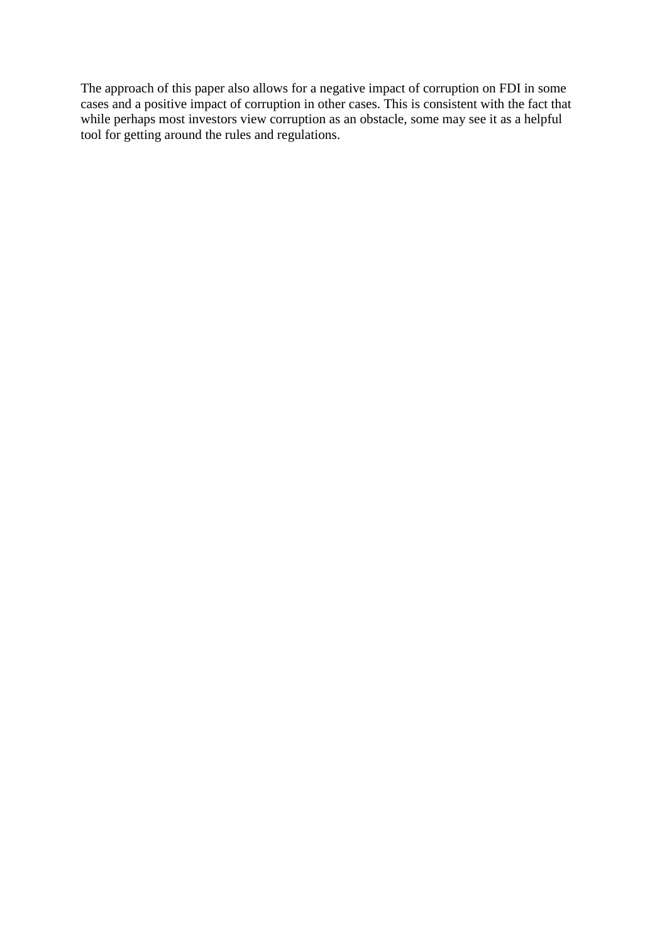The approach of this paper also allows for a negative impact of corruption on FDI in some cases and a positive impact of corruption in other cases. This is consistent with the fact that while perhaps most investors view corruption as an obstacle, some may see it as a helpful tool for getting around the rules and regulations.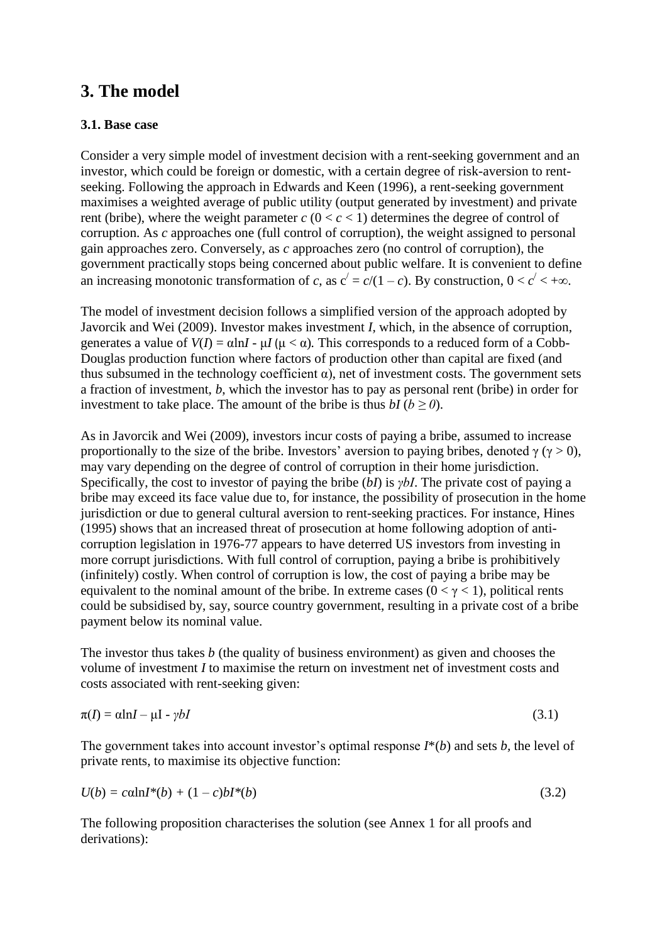# **3. The model**

#### **3.1. Base case**

Consider a very simple model of investment decision with a rent-seeking government and an investor, which could be foreign or domestic, with a certain degree of risk-aversion to rentseeking. Following the approach in Edwards and Keen (1996), a rent-seeking government maximises a weighted average of public utility (output generated by investment) and private rent (bribe), where the weight parameter  $c$  ( $0 < c < 1$ ) determines the degree of control of corruption. As *c* approaches one (full control of corruption), the weight assigned to personal gain approaches zero. Conversely, as *c* approaches zero (no control of corruption), the government practically stops being concerned about public welfare. It is convenient to define an increasing monotonic transformation of *c*, as  $c' = c/(1 - c)$ . By construction,  $0 < c' < +\infty$ .

The model of investment decision follows a simplified version of the approach adopted by Javorcik and Wei (2009). Investor makes investment *I,* which, in the absence of corruption, generates a value of  $V(I) = \alpha \ln I - \mu I (\mu < \alpha)$ . This corresponds to a reduced form of a Cobb-Douglas production function where factors of production other than capital are fixed (and thus subsumed in the technology coefficient  $\alpha$ ), net of investment costs. The government sets a fraction of investment, *b*, which the investor has to pay as personal rent (bribe) in order for investment to take place. The amount of the bribe is thus  $bI$  ( $b \ge 0$ ).

As in Javorcik and Wei (2009), investors incur costs of paying a bribe, assumed to increase proportionally to the size of the bribe. Investors' aversion to paying bribes, denoted  $\gamma$  ( $\gamma > 0$ ), may vary depending on the degree of control of corruption in their home jurisdiction. Specifically, the cost to investor of paying the bribe (*bI*) is *γbI*. The private cost of paying a bribe may exceed its face value due to, for instance, the possibility of prosecution in the home jurisdiction or due to general cultural aversion to rent-seeking practices. For instance, Hines (1995) shows that an increased threat of prosecution at home following adoption of anticorruption legislation in 1976-77 appears to have deterred US investors from investing in more corrupt jurisdictions. With full control of corruption, paying a bribe is prohibitively (infinitely) costly. When control of corruption is low, the cost of paying a bribe may be equivalent to the nominal amount of the bribe. In extreme cases ( $0 < y < 1$ ), political rents could be subsidised by, say, source country government, resulting in a private cost of a bribe payment below its nominal value.

The investor thus takes *b* (the quality of business environment) as given and chooses the volume of investment *I* to maximise the return on investment net of investment costs and costs associated with rent-seeking given:

$$
\pi(I) = \alpha \ln I - \mu I - \gamma bI \tag{3.1}
$$

The government takes into account investor's optimal response *I*\*(*b*) and sets *b,* the level of private rents, to maximise its objective function:

$$
U(b) = c \alpha \ln I^*(b) + (1 - c)b I^*(b)
$$
\n(3.2)

The following proposition characterises the solution (see Annex 1 for all proofs and derivations):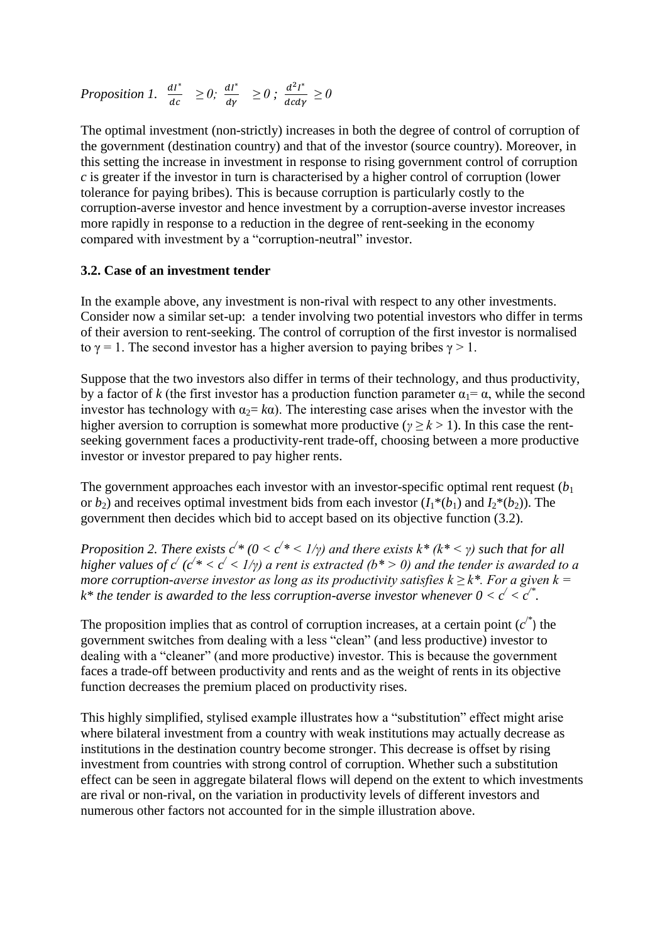*Proposition 1.*  $\frac{dI^*}{dt^*}$  $rac{dI^*}{dc} \geq 0$ ;  $rac{dI^*}{d\gamma}$  $\frac{dI^*}{d\gamma} \ge 0$ ;  $\frac{d^2I^*}{dcd\gamma}$  $\frac{dI}{d c d \gamma} \geq 0$ 

The optimal investment (non-strictly) increases in both the degree of control of corruption of the government (destination country) and that of the investor (source country). Moreover, in this setting the increase in investment in response to rising government control of corruption *c* is greater if the investor in turn is characterised by a higher control of corruption (lower tolerance for paying bribes). This is because corruption is particularly costly to the corruption-averse investor and hence investment by a corruption-averse investor increases more rapidly in response to a reduction in the degree of rent-seeking in the economy compared with investment by a "corruption-neutral" investor.

#### **3.2. Case of an investment tender**

In the example above, any investment is non-rival with respect to any other investments. Consider now a similar set-up: a tender involving two potential investors who differ in terms of their aversion to rent-seeking. The control of corruption of the first investor is normalised to  $\gamma = 1$ . The second investor has a higher aversion to paying bribes  $\gamma > 1$ .

Suppose that the two investors also differ in terms of their technology, and thus productivity, by a factor of *k* (the first investor has a production function parameter  $\alpha_1 = \alpha$ , while the second investor has technology with  $\alpha_2 = k\alpha$ ). The interesting case arises when the investor with the higher aversion to corruption is somewhat more productive (*γ ≥ k* > 1). In this case the rentseeking government faces a productivity-rent trade-off, choosing between a more productive investor or investor prepared to pay higher rents.

The government approaches each investor with an investor-specific optimal rent request  $(b<sub>1</sub>)$ or  $b_2$ ) and receives optimal investment bids from each investor  $(I_1^*(b_1)$  and  $I_2^*(b_2)$ ). The government then decides which bid to accept based on its objective function (3.2).

*Proposition 2. There exists*  $c^{\prime*}$  *(0 <*  $c^{\prime*}$  *< 1/γ) and there exists*  $k^*$  *(* $k^*$  *< γ) such that for all higher values of*  $c'$  *(* $c' * < c' < 1/\gamma$ *) a rent is extracted (* $b^* > 0$ *) and the tender is awarded to a more corruption-averse investor as long as its productivity satisfies*  $k \geq k^*$ *. For a given k = k*\* the tender is awarded to the less corruption-averse investor whenever  $0 < c' < c''$ .

The proposition implies that as control of corruption increases, at a certain point  $(c^*)$  the government switches from dealing with a less "clean" (and less productive) investor to dealing with a "cleaner" (and more productive) investor. This is because the government faces a trade-off between productivity and rents and as the weight of rents in its objective function decreases the premium placed on productivity rises.

This highly simplified, stylised example illustrates how a "substitution" effect might arise where bilateral investment from a country with weak institutions may actually decrease as institutions in the destination country become stronger. This decrease is offset by rising investment from countries with strong control of corruption. Whether such a substitution effect can be seen in aggregate bilateral flows will depend on the extent to which investments are rival or non-rival, on the variation in productivity levels of different investors and numerous other factors not accounted for in the simple illustration above.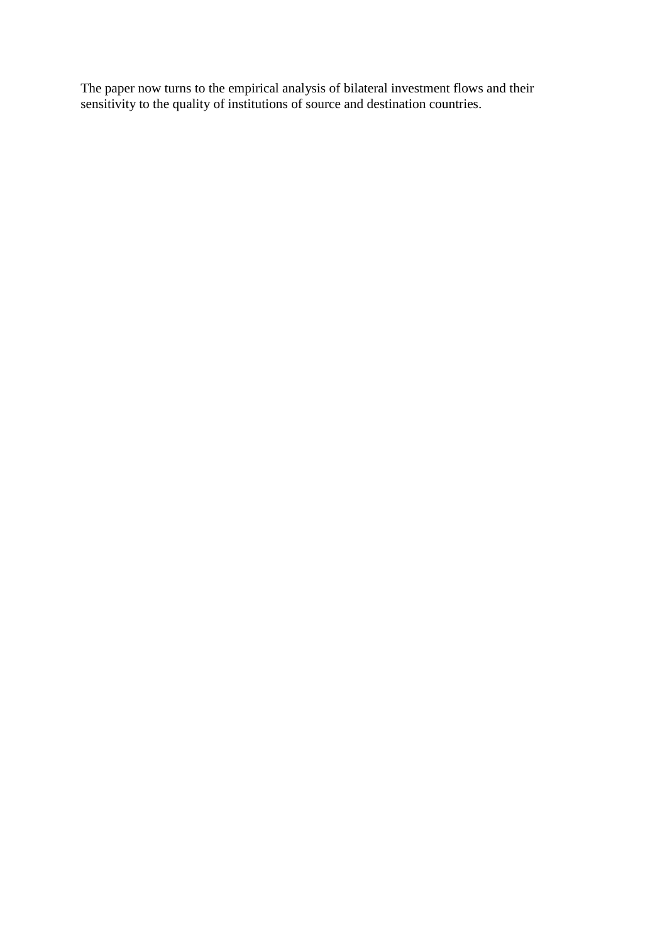The paper now turns to the empirical analysis of bilateral investment flows and their sensitivity to the quality of institutions of source and destination countries.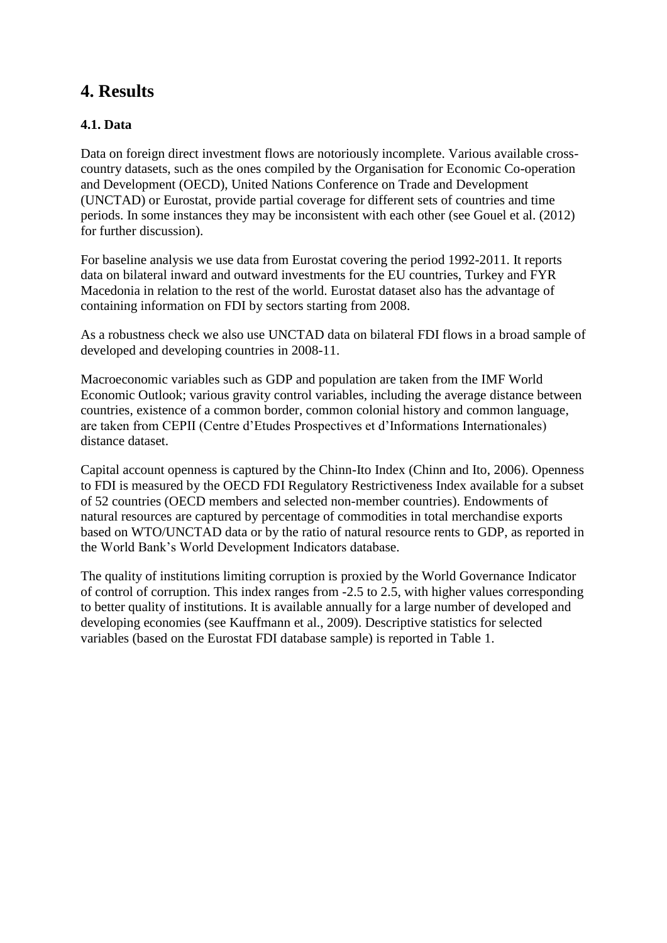# **4. Results**

### **4.1. Data**

Data on foreign direct investment flows are notoriously incomplete. Various available crosscountry datasets, such as the ones compiled by the Organisation for Economic Co-operation and Development (OECD), United Nations Conference on Trade and Development (UNCTAD) or Eurostat, provide partial coverage for different sets of countries and time periods. In some instances they may be inconsistent with each other (see Gouel et al. (2012) for further discussion).

For baseline analysis we use data from Eurostat covering the period 1992-2011. It reports data on bilateral inward and outward investments for the EU countries, Turkey and FYR Macedonia in relation to the rest of the world. Eurostat dataset also has the advantage of containing information on FDI by sectors starting from 2008.

As a robustness check we also use UNCTAD data on bilateral FDI flows in a broad sample of developed and developing countries in 2008-11.

Macroeconomic variables such as GDP and population are taken from the IMF World Economic Outlook; various gravity control variables, including the average distance between countries, existence of a common border, common colonial history and common language, are taken from CEPII (Centre d'Etudes Prospectives et d'Informations Internationales) distance dataset.

Capital account openness is captured by the Chinn-Ito Index (Chinn and Ito, 2006). Openness to FDI is measured by the OECD FDI Regulatory Restrictiveness Index available for a subset of 52 countries (OECD members and selected non-member countries). Endowments of natural resources are captured by percentage of commodities in total merchandise exports based on WTO/UNCTAD data or by the ratio of natural resource rents to GDP, as reported in the World Bank's World Development Indicators database.

The quality of institutions limiting corruption is proxied by the World Governance Indicator of control of corruption. This index ranges from -2.5 to 2.5, with higher values corresponding to better quality of institutions. It is available annually for a large number of developed and developing economies (see Kauffmann et al., 2009). Descriptive statistics for selected variables (based on the Eurostat FDI database sample) is reported in Table 1.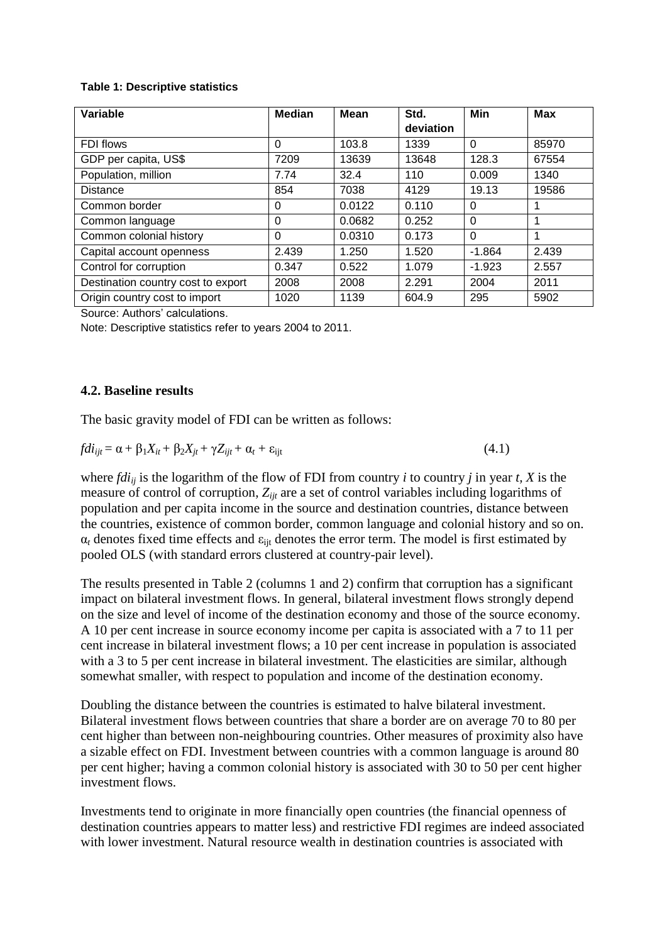#### **Table 1: Descriptive statistics**

| Variable                           | <b>Median</b> | <b>Mean</b> | Std.      | Min      | <b>Max</b> |
|------------------------------------|---------------|-------------|-----------|----------|------------|
|                                    |               |             | deviation |          |            |
| FDI flows                          | $\Omega$      | 103.8       | 1339      | $\Omega$ | 85970      |
| GDP per capita, US\$               | 7209          | 13639       | 13648     | 128.3    | 67554      |
| Population, million                | 7.74          | 32.4        | 110       | 0.009    | 1340       |
| <b>Distance</b>                    | 854           | 7038        | 4129      | 19.13    | 19586      |
| Common border                      | 0             | 0.0122      | 0.110     | $\Omega$ | 1          |
| Common language                    | 0             | 0.0682      | 0.252     | $\Omega$ | 1          |
| Common colonial history            | $\Omega$      | 0.0310      | 0.173     | $\Omega$ | 1          |
| Capital account openness           | 2.439         | 1.250       | 1.520     | $-1.864$ | 2.439      |
| Control for corruption             | 0.347         | 0.522       | 1.079     | $-1.923$ | 2.557      |
| Destination country cost to export | 2008          | 2008        | 2.291     | 2004     | 2011       |
| Origin country cost to import      | 1020          | 1139        | 604.9     | 295      | 5902       |

Source: Authors' calculations.

Note: Descriptive statistics refer to years 2004 to 2011.

#### **4.2. Baseline results**

The basic gravity model of FDI can be written as follows:

$$
fdi_{ijt} = \alpha + \beta_1 X_{it} + \beta_2 X_{jt} + \gamma Z_{ijt} + \alpha_t + \varepsilon_{ijt}
$$
\n(4.1)

where *fdiij* is the logarithm of the flow of FDI from country *i* to country *j* in year *t, X* is the measure of control of corruption, *Zijt* are a set of control variables including logarithms of population and per capita income in the source and destination countries, distance between the countries, existence of common border, common language and colonial history and so on.  $\alpha_t$  denotes fixed time effects and  $\varepsilon_{\text{it}}$  denotes the error term. The model is first estimated by pooled OLS (with standard errors clustered at country-pair level).

The results presented in Table 2 (columns 1 and 2) confirm that corruption has a significant impact on bilateral investment flows. In general, bilateral investment flows strongly depend on the size and level of income of the destination economy and those of the source economy. A 10 per cent increase in source economy income per capita is associated with a 7 to 11 per cent increase in bilateral investment flows; a 10 per cent increase in population is associated with a 3 to 5 per cent increase in bilateral investment. The elasticities are similar, although somewhat smaller, with respect to population and income of the destination economy.

Doubling the distance between the countries is estimated to halve bilateral investment. Bilateral investment flows between countries that share a border are on average 70 to 80 per cent higher than between non-neighbouring countries. Other measures of proximity also have a sizable effect on FDI. Investment between countries with a common language is around 80 per cent higher; having a common colonial history is associated with 30 to 50 per cent higher investment flows.

Investments tend to originate in more financially open countries (the financial openness of destination countries appears to matter less) and restrictive FDI regimes are indeed associated with lower investment. Natural resource wealth in destination countries is associated with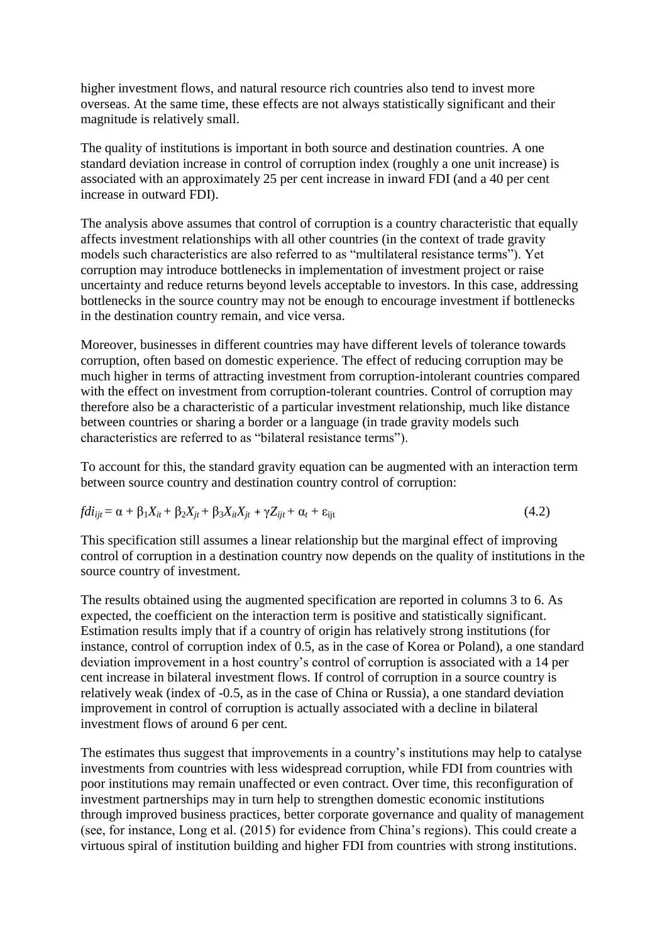higher investment flows, and natural resource rich countries also tend to invest more overseas. At the same time, these effects are not always statistically significant and their magnitude is relatively small.

The quality of institutions is important in both source and destination countries. A one standard deviation increase in control of corruption index (roughly a one unit increase) is associated with an approximately 25 per cent increase in inward FDI (and a 40 per cent increase in outward FDI).

The analysis above assumes that control of corruption is a country characteristic that equally affects investment relationships with all other countries (in the context of trade gravity models such characteristics are also referred to as "multilateral resistance terms"). Yet corruption may introduce bottlenecks in implementation of investment project or raise uncertainty and reduce returns beyond levels acceptable to investors. In this case, addressing bottlenecks in the source country may not be enough to encourage investment if bottlenecks in the destination country remain, and vice versa.

Moreover, businesses in different countries may have different levels of tolerance towards corruption, often based on domestic experience. The effect of reducing corruption may be much higher in terms of attracting investment from corruption-intolerant countries compared with the effect on investment from corruption-tolerant countries. Control of corruption may therefore also be a characteristic of a particular investment relationship, much like distance between countries or sharing a border or a language (in trade gravity models such characteristics are referred to as "bilateral resistance terms").

To account for this, the standard gravity equation can be augmented with an interaction term between source country and destination country control of corruption:

$$
fdi_{ijt} = \alpha + \beta_1 X_{it} + \beta_2 X_{jt} + \beta_3 X_{it} X_{jt} + \gamma Z_{ijt} + \alpha_t + \varepsilon_{ijt}
$$
\n
$$
(4.2)
$$

This specification still assumes a linear relationship but the marginal effect of improving control of corruption in a destination country now depends on the quality of institutions in the source country of investment.

The results obtained using the augmented specification are reported in columns 3 to 6. As expected, the coefficient on the interaction term is positive and statistically significant. Estimation results imply that if a country of origin has relatively strong institutions (for instance, control of corruption index of 0.5, as in the case of Korea or Poland), a one standard deviation improvement in a host country's control of corruption is associated with a 14 per cent increase in bilateral investment flows. If control of corruption in a source country is relatively weak (index of -0.5, as in the case of China or Russia), a one standard deviation improvement in control of corruption is actually associated with a decline in bilateral investment flows of around 6 per cent.

The estimates thus suggest that improvements in a country's institutions may help to catalyse investments from countries with less widespread corruption, while FDI from countries with poor institutions may remain unaffected or even contract. Over time, this reconfiguration of investment partnerships may in turn help to strengthen domestic economic institutions through improved business practices, better corporate governance and quality of management (see, for instance, Long et al. (2015) for evidence from China's regions). This could create a virtuous spiral of institution building and higher FDI from countries with strong institutions.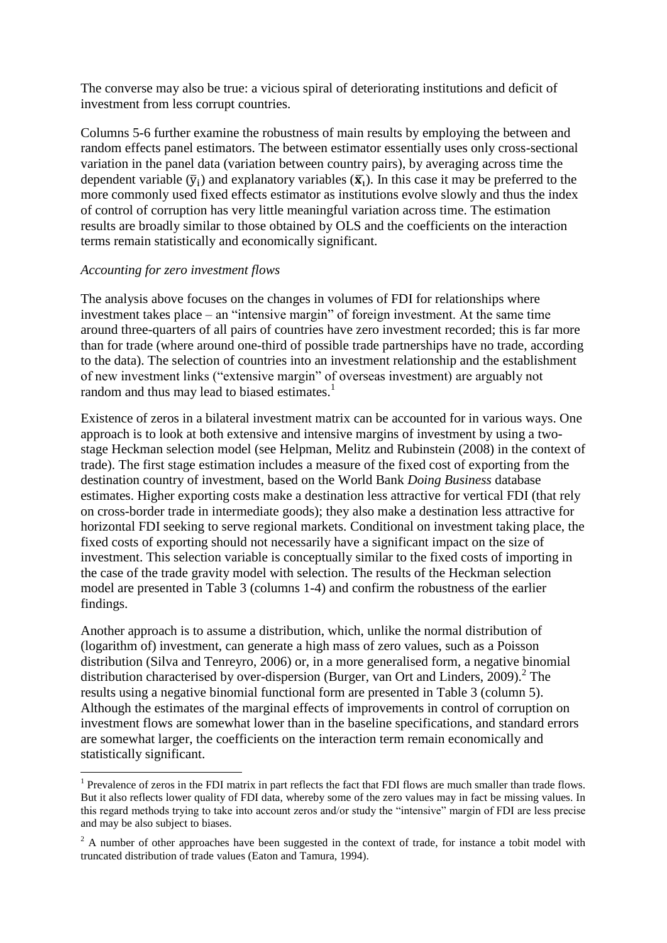The converse may also be true: a vicious spiral of deteriorating institutions and deficit of investment from less corrupt countries.

Columns 5-6 further examine the robustness of main results by employing the between and random effects panel estimators. The between estimator essentially uses only cross-sectional variation in the panel data (variation between country pairs), by averaging across time the dependent variable  $(\bar{y}_i)$  and explanatory variables  $(\bar{x}_i)$ . In this case it may be preferred to the more commonly used fixed effects estimator as institutions evolve slowly and thus the index of control of corruption has very little meaningful variation across time. The estimation results are broadly similar to those obtained by OLS and the coefficients on the interaction terms remain statistically and economically significant.

#### *Accounting for zero investment flows*

1

The analysis above focuses on the changes in volumes of FDI for relationships where investment takes place – an "intensive margin" of foreign investment. At the same time around three-quarters of all pairs of countries have zero investment recorded; this is far more than for trade (where around one-third of possible trade partnerships have no trade, according to the data). The selection of countries into an investment relationship and the establishment of new investment links ("extensive margin" of overseas investment) are arguably not random and thus may lead to biased estimates.<sup>1</sup>

Existence of zeros in a bilateral investment matrix can be accounted for in various ways. One approach is to look at both extensive and intensive margins of investment by using a twostage Heckman selection model (see Helpman, Melitz and Rubinstein (2008) in the context of trade). The first stage estimation includes a measure of the fixed cost of exporting from the destination country of investment, based on the World Bank *Doing Business* database estimates. Higher exporting costs make a destination less attractive for vertical FDI (that rely on cross-border trade in intermediate goods); they also make a destination less attractive for horizontal FDI seeking to serve regional markets. Conditional on investment taking place, the fixed costs of exporting should not necessarily have a significant impact on the size of investment. This selection variable is conceptually similar to the fixed costs of importing in the case of the trade gravity model with selection. The results of the Heckman selection model are presented in Table 3 (columns 1-4) and confirm the robustness of the earlier findings.

Another approach is to assume a distribution, which, unlike the normal distribution of (logarithm of) investment, can generate a high mass of zero values, such as a Poisson distribution (Silva and Tenreyro, 2006) or, in a more generalised form, a negative binomial distribution characterised by over-dispersion (Burger, van Ort and Linders, 2009).<sup>2</sup> The results using a negative binomial functional form are presented in Table 3 (column 5). Although the estimates of the marginal effects of improvements in control of corruption on investment flows are somewhat lower than in the baseline specifications, and standard errors are somewhat larger, the coefficients on the interaction term remain economically and statistically significant.

<sup>&</sup>lt;sup>1</sup> Prevalence of zeros in the FDI matrix in part reflects the fact that FDI flows are much smaller than trade flows. But it also reflects lower quality of FDI data, whereby some of the zero values may in fact be missing values. In this regard methods trying to take into account zeros and/or study the "intensive" margin of FDI are less precise and may be also subject to biases.

 $^{2}$  A number of other approaches have been suggested in the context of trade, for instance a tobit model with truncated distribution of trade values (Eaton and Tamura, 1994).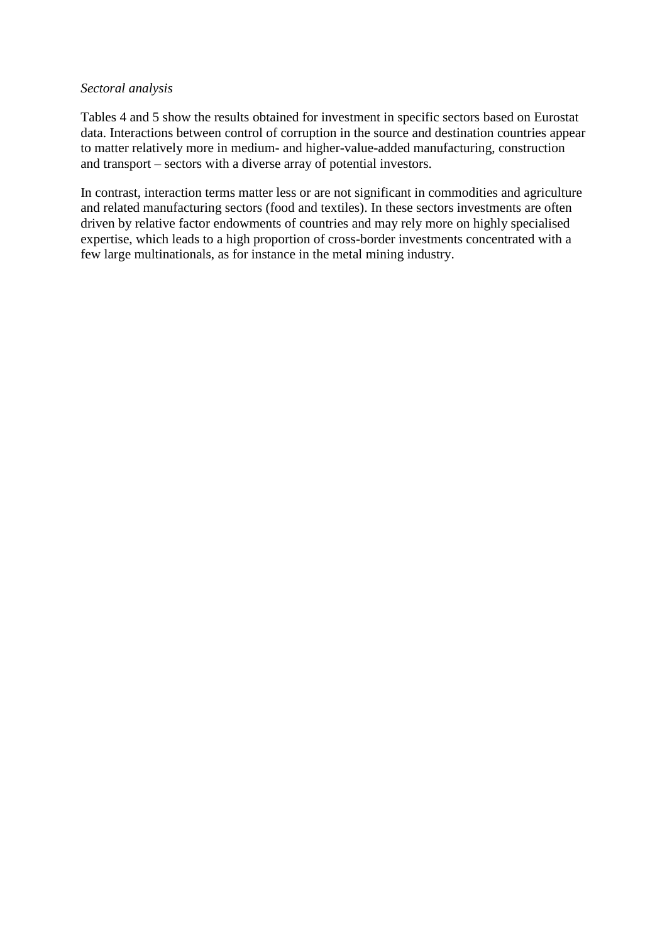#### *Sectoral analysis*

Tables 4 and 5 show the results obtained for investment in specific sectors based on Eurostat data. Interactions between control of corruption in the source and destination countries appear to matter relatively more in medium- and higher-value-added manufacturing, construction and transport – sectors with a diverse array of potential investors.

In contrast, interaction terms matter less or are not significant in commodities and agriculture and related manufacturing sectors (food and textiles). In these sectors investments are often driven by relative factor endowments of countries and may rely more on highly specialised expertise, which leads to a high proportion of cross-border investments concentrated with a few large multinationals, as for instance in the metal mining industry.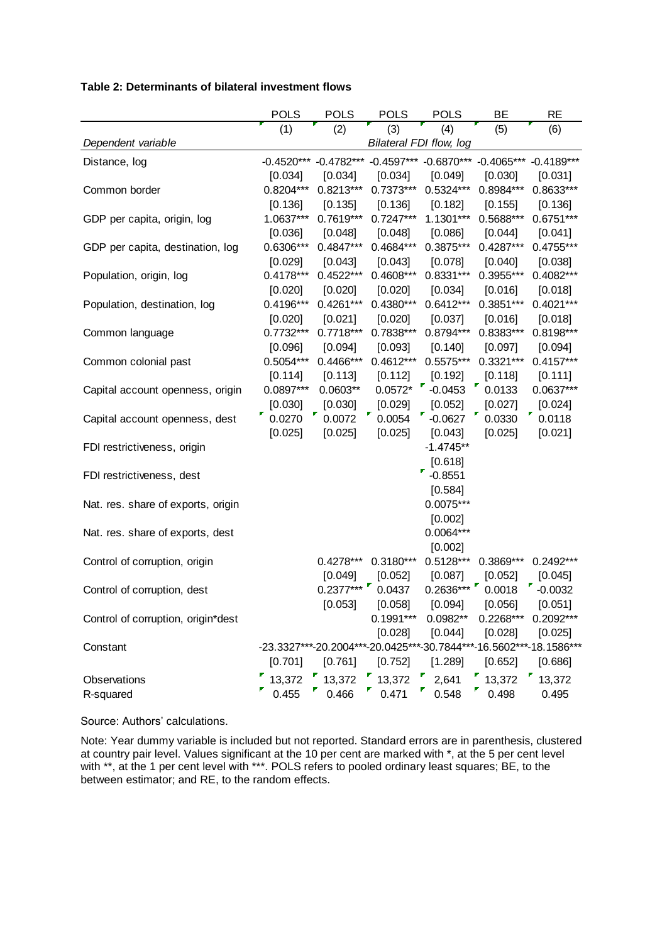#### **Table 2: Determinants of bilateral investment flows**

|                                    | POLS        | <b>POLS</b>      | <b>POLS</b>                                                        | <b>POLS</b> | ВE                            | <b>RE</b>   |
|------------------------------------|-------------|------------------|--------------------------------------------------------------------|-------------|-------------------------------|-------------|
|                                    | (1)         | $\overline{(2)}$ | (3)                                                                | (4)         | (5)                           | (6)         |
| Dependent variable                 |             |                  | Bilateral FDI flow, log                                            |             |                               |             |
| Distance, log                      |             |                  | -0.4520*** -0.4782*** -0.4597*** -0.6870*** -0.4065*** -0.4189***  |             |                               |             |
|                                    | [0.034]     | [0.034]          | [0.034]                                                            | [0.049]     | [0.030]                       | [0.031]     |
| Common border                      | $0.8204***$ | $0.8213***$      | $0.7373***$                                                        | $0.5324***$ | $0.8984***$                   | 0.8633***   |
|                                    | [0.136]     | [0.135]          | [0.136]                                                            | [0.182]     | [0.155]                       | [0.136]     |
| GDP per capita, origin, log        | 1.0637***   | $0.7619***$      | $0.7247***$                                                        | $1.1301***$ | 0.5688***                     | 0.6751***   |
|                                    | [0.036]     | [0.048]          | [0.048]                                                            | [0.086]     | [0.044]                       | [0.041]     |
| GDP per capita, destination, log   | 0.6306***   | $0.4847***$      | $0.4684***$                                                        | $0.3875***$ | 0.4287***                     | 0.4755***   |
|                                    | [0.029]     | [0.043]          | [0.043]                                                            | [0.078]     | [0.040]                       | [0.038]     |
| Population, origin, log            | $0.4178***$ | $0.4522***$      | $0.4608***$                                                        | $0.8331***$ | 0.3955***                     | 0.4082***   |
|                                    | [0.020]     | [0.020]          | [0.020]                                                            | [0.034]     | [0.016]                       | [0.018]     |
| Population, destination, log       | $0.4196***$ | $0.4261***$      | $0.4380***$                                                        | $0.6412***$ | $0.3851***$                   | $0.4021***$ |
|                                    | [0.020]     | [0.021]          | [0.020]                                                            | [0.037]     | [0.016]                       | [0.018]     |
| Common language                    | $0.7732***$ | $0.7718***$      | $0.7838***$                                                        | $0.8794***$ | $0.8383***$                   | $0.8198***$ |
|                                    | [0.096]     | [0.094]          | [0.093]                                                            | [0.140]     | [0.097]                       | [0.094]     |
| Common colonial past               | $0.5054***$ | $0.4466***$      | $0.4612***$                                                        | $0.5575***$ | $0.3321***$                   | $0.4157***$ |
|                                    | [0.114]     | [0.113]          | [0.112]                                                            | [0.192]     | [0.118]                       | [0.111]     |
| Capital account openness, origin   | $0.0897***$ | $0.0603**$       | $0.0572$ *                                                         | $-0.0453$   | 0.0133                        | $0.0637***$ |
|                                    | [0.030]     | [0.030]          | [0.029]                                                            | [0.052]     | [0.027]                       | [0.024]     |
| Capital account openness, dest     | 0.0270      | 0.0072           | 0.0054                                                             | $-0.0627$   | 0.0330                        | 0.0118      |
|                                    | [0.025]     | [0.025]          | [0.025]                                                            | [0.043]     | [0.025]                       | [0.021]     |
| FDI restrictiveness, origin        |             |                  |                                                                    | $-1.4745**$ |                               |             |
|                                    |             |                  |                                                                    | [0.618]     |                               |             |
| FDI restrictiveness, dest          |             |                  |                                                                    | $-0.8551$   |                               |             |
|                                    |             |                  |                                                                    | [0.584]     |                               |             |
| Nat. res. share of exports, origin |             |                  |                                                                    | $0.0075***$ |                               |             |
|                                    |             |                  |                                                                    | [0.002]     |                               |             |
| Nat. res. share of exports, dest   |             |                  |                                                                    | 0.0064***   |                               |             |
|                                    |             |                  |                                                                    | [0.002]     |                               |             |
| Control of corruption, origin      |             |                  | $0.4278***$ 0.3180***                                              |             | 0.5128*** 0.3869*** 0.2492*** |             |
|                                    |             | [0.049]          | [0.052]                                                            | [0.087]     | [0.052]                       | [0.045]     |
| Control of corruption, dest        |             | $0.2377***$      | 0.0437                                                             | $0.2636***$ | 0.0018                        | $-0.0032$   |
|                                    |             | [0.053]          | [0.058]                                                            | [0.094]     | [0.056]                       | [0.051]     |
| Control of corruption, origin*dest |             |                  | $0.1991***$                                                        | $0.0982**$  | $0.2268***$                   | 0.2092***   |
|                                    |             |                  | [0.028]                                                            | [0.044]     | [0.028]                       | [0.025]     |
| Constant                           |             |                  | -23.3327***-20.2004***-20.0425***-30.7844***-16.5602***-18.1586*** |             |                               |             |
|                                    | [0.701]     | [0.761]          | [0.752]                                                            | [1.289]     | [0.652]                       | [0.686]     |
| Observations                       | 13,372      | 13,372           | 13,372                                                             | 2,641       | 13,372                        | 13,372      |
| R-squared                          | 0.455       | 0.466            | 0.471                                                              | 0.548       | 0.498                         | 0.495       |

Source: Authors' calculations.

Note: Year dummy variable is included but not reported. Standard errors are in parenthesis, clustered at country pair level. Values significant at the 10 per cent are marked with \*, at the 5 per cent level with \*\*, at the 1 per cent level with \*\*\*. POLS refers to pooled ordinary least squares; BE, to the between estimator; and RE, to the random effects.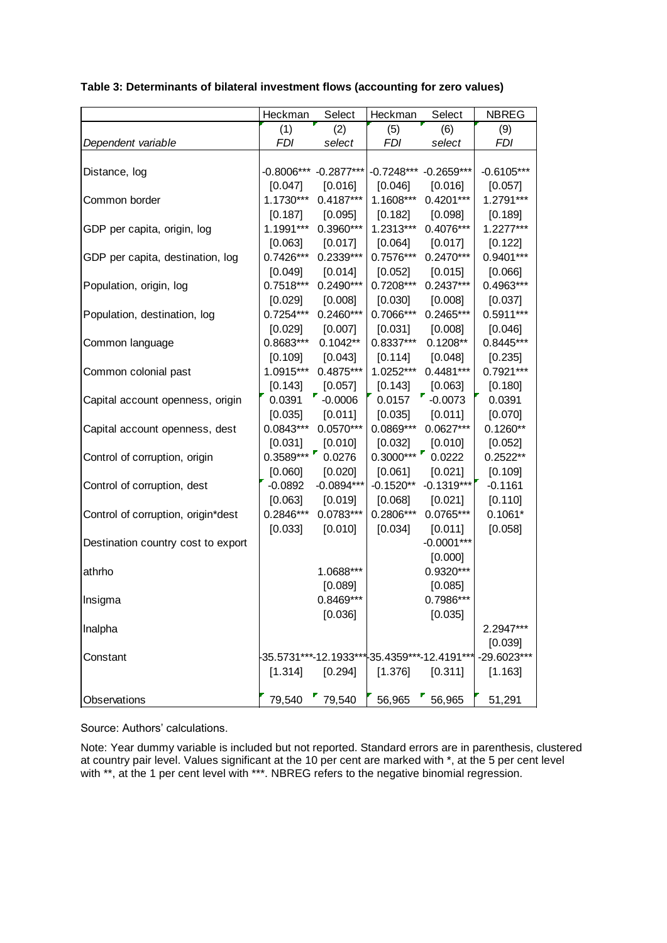|                                    | Heckman     | Select                  | Heckman     | Select                                       | <b>NBREG</b> |
|------------------------------------|-------------|-------------------------|-------------|----------------------------------------------|--------------|
|                                    | (1)         | (2)                     | (5)         | (6)                                          | (9)          |
| Dependent variable                 | FDI         | select                  | <i>FDI</i>  | select                                       | FDI          |
|                                    |             |                         |             |                                              |              |
| Distance, log                      |             | $-0.8006***$ -0.2877*** |             | -0.7248*** -0.2659***                        | $-0.6105***$ |
|                                    | $[0.047]$   | [0.016]                 | $[0.046]$   | [0.016]                                      | $[0.057]$    |
| Common border                      | $1.1730***$ | $0.4187***$             | $1.1608***$ | $0.4201***$                                  | 1.2791***    |
|                                    | [0.187]     | $[0.095]$               | [0.182]     | [0.098]                                      | [0.189]      |
| GDP per capita, origin, log        |             | 1.1991*** 0.3960***     | $1.2313***$ | $0.4076***$                                  | $1.2277***$  |
|                                    | [0.063]     | [0.017]                 | $[0.064]$   | [0.017]                                      | [0.122]      |
| GDP per capita, destination, log   |             | 0.7426*** 0.2339***     |             | 0.7576*** 0.2470***                          | 0.9401***    |
|                                    | $[0.049]$   | [0.014]                 | [0.052]     | [0.015]                                      | [0.066]      |
| Population, origin, log            | $0.7518***$ | $0.2490***$             | $0.7208***$ | $0.2437***$                                  | 0.4963***    |
|                                    | [0.029]     | [0.008]                 | [0.030]     | [0.008]                                      | [0.037]      |
| Population, destination, log       | $0.7254***$ | $0.2460***$             | 0.7066***   | 0.2465***                                    | $0.5911***$  |
|                                    | [0.029]     | [0.007]                 | [0.031]     | [0.008]                                      | [0.046]      |
| Common language                    | $0.8683***$ | $0.1042**$              | 0.8337***   | $0.1208**$                                   | $0.8445***$  |
|                                    | [0.109]     | [0.043]                 | [0.114]     | [0.048]                                      | [0.235]      |
| Common colonial past               | 1.0915***   | $0.4875***$             | $1.0252***$ | $0.4481***$                                  | $0.7921***$  |
|                                    | [0.143]     | [0.057]                 | [0.143]     | [0.063]                                      | [0.180]      |
| Capital account openness, origin   | 0.0391      | $-0.0006$               | 0.0157      | $-0.0073$                                    | 0.0391       |
|                                    | [0.035]     | [0.011]                 | [0.035]     | [0.011]                                      | [0.070]      |
| Capital account openness, dest     | $0.0843***$ | $0.0570***$             | $0.0869***$ | $0.0627***$                                  | $0.1260**$   |
|                                    | [0.031]     | [0.010]                 | [0.032]     | [0.010]                                      | [0.052]      |
| Control of corruption, origin      | $0.3589***$ | 0.0276                  | $0.3000***$ | 0.0222                                       | $0.2522**$   |
|                                    | [0.060]     | [0.020]                 | [0.061]     | [0.021]                                      | [0.109]      |
| Control of corruption, dest        | $-0.0892$   | $-0.0894***$            |             | $-0.1520**$ $-0.1319***$                     | $-0.1161$    |
|                                    | [0.063]     | [0.019]                 | [0.068]     | [0.021]                                      | [0.110]      |
| Control of corruption, origin*dest | 0.2846***   | $0.0783***$             | 0.2806***   | $0.0765***$                                  | $0.1061*$    |
|                                    | [0.033]     | [0.010]                 | [0.034]     | [0.011]                                      | [0.058]      |
| Destination country cost to export |             |                         |             | $-0.0001***$                                 |              |
|                                    |             |                         |             | [0.000]                                      |              |
| athrho                             |             | 1.0688***               |             | $0.9320***$                                  |              |
|                                    |             | [0.089]                 |             | [0.085]                                      |              |
| Insigma                            |             | $0.8469***$             |             | 0.7986***                                    |              |
|                                    |             | [0.036]                 |             | [0.035]                                      |              |
| Inalpha                            |             |                         |             |                                              | 2.2947***    |
|                                    |             |                         |             |                                              | [0.039]      |
| Constant                           |             |                         |             | -35.5731***-12.1933***-35.4359***-12.4191*** | -29.6023***  |
|                                    | [1.314]     | [0.294]                 | [1.376]     | [0.311]                                      | [1.163]      |
|                                    |             |                         |             |                                              |              |
| Observations                       |             | 79,540 79,540           |             | 56,965 56,965                                | 51,291       |

**Table 3: Determinants of bilateral investment flows (accounting for zero values)**

Source: Authors' calculations.

Note: Year dummy variable is included but not reported. Standard errors are in parenthesis, clustered at country pair level. Values significant at the 10 per cent are marked with \*, at the 5 per cent level with \*\*, at the 1 per cent level with \*\*\*. NBREG refers to the negative binomial regression.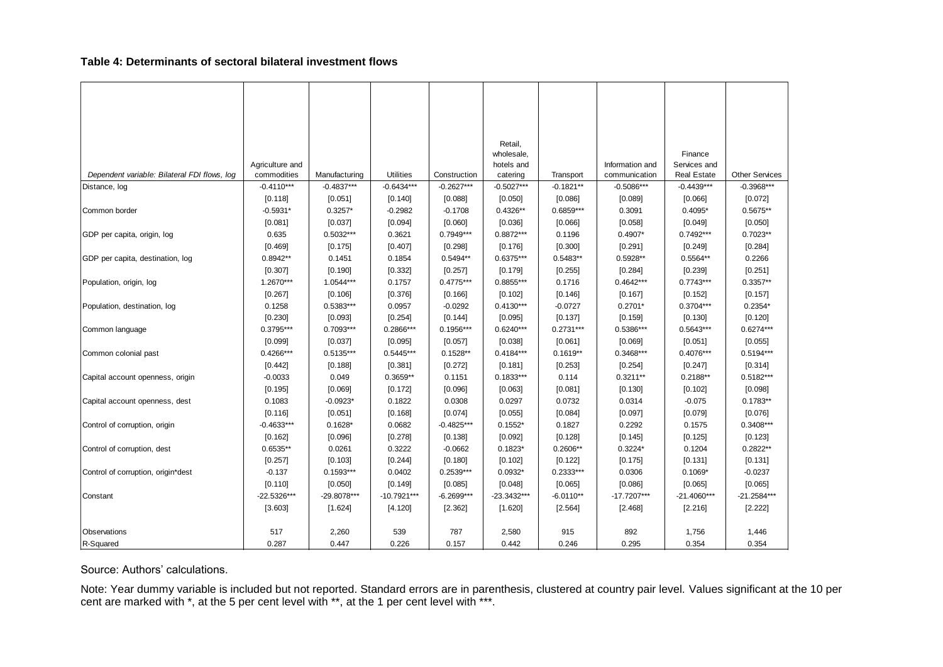#### **Table 4: Determinants of sectoral bilateral investment flows**

|                                                                                                                                                    |                 |               |              |              | Retail,      |             |                 |                    |                       |
|----------------------------------------------------------------------------------------------------------------------------------------------------|-----------------|---------------|--------------|--------------|--------------|-------------|-----------------|--------------------|-----------------------|
|                                                                                                                                                    |                 |               |              |              | wholesale,   |             |                 | Finance            |                       |
|                                                                                                                                                    | Agriculture and |               |              |              | hotels and   |             | Information and | Services and       |                       |
| Dependent variable: Bilateral FDI flows, log                                                                                                       | commodities     | Manufacturing | Utilities    | Construction | catering     | Transport   | communication   | <b>Real Estate</b> | <b>Other Services</b> |
| Distance, log                                                                                                                                      | $-0.4110***$    | $-0.4837***$  | $-0.6434***$ | $-0.2627***$ | $-0.5027***$ | $-0.1821**$ | $-0.5086***$    | $-0.4439***$       | $-0.3968***$          |
|                                                                                                                                                    | [0.118]         | [0.051]       | [0.140]      | [0.088]      | [0.050]      | [0.086]     | [0.089]         | [0.066]            | [0.072]               |
| Common border                                                                                                                                      | $-0.5931*$      | $0.3257*$     | $-0.2982$    | $-0.1708$    | $0.4326**$   | $0.6859***$ | 0.3091          | $0.4095*$          | 0.5675**              |
|                                                                                                                                                    | [0.081]         | [0.037]       | [0.094]      | [0.060]      | [0.036]      | [0.066]     | [0.058]         | [0.049]            | [0.050]               |
| GDP per capita, origin, log                                                                                                                        | 0.635           | $0.5032***$   | 0.3621       | 0.7949***    | $0.8872***$  | 0.1196      | $0.4907*$       | $0.7492***$        | $0.7023**$            |
|                                                                                                                                                    | [0.469]         | [0.175]       | [0.407]      | [0.298]      | [0.176]      | [0.300]     | [0.291]         | [0.249]            | [0.284]               |
| GDP per capita, destination, log                                                                                                                   | $0.8942**$      | 0.1451        | 0.1854       | $0.5494**$   | $0.6375***$  | $0.5483**$  | $0.5928**$      | $0.5564**$         | 0.2266                |
|                                                                                                                                                    | [0.307]         | [0.190]       | [0.332]      | [0.257]      | [0.179]      | [0.255]     | [0.284]         | [0.239]            | [0.251]               |
| Population, origin, log                                                                                                                            | 1.2670***       | 1.0544***     | 0.1757       | $0.4775***$  | $0.8855***$  | 0.1716      | $0.4642***$     | $0.7743***$        | $0.3357**$            |
|                                                                                                                                                    | [0.267]         | [0.106]       | [0.376]      | [0.166]      | [0.102]      | [0.146]     | [0.167]         | [0.152]            | [0.157]               |
| Population, destination, log                                                                                                                       | 0.1258          | $0.5383***$   | 0.0957       | $-0.0292$    | $0.4130***$  | $-0.0727$   | $0.2701*$       | $0.3704***$        | $0.2354*$             |
|                                                                                                                                                    | [0.230]         | [0.093]       | [0.254]      | [0.144]      | [0.095]      | [0.137]     | [0.159]         | [0.130]            | [0.120]               |
| Common language                                                                                                                                    | 0.3795***       | 0.7093***     | 0.2866***    | 0.1956***    | $0.6240***$  | $0.2731***$ | 0.5386***       | 0.5643***          | $0.6274***$           |
|                                                                                                                                                    | [0.099]         | [0.037]       | [0.095]      | [0.057]      | [0.038]      | [0.061]     | [0.069]         | [0.051]            | [0.055]               |
| Common colonial past                                                                                                                               | $0.4266***$     | $0.5135***$   | $0.5445***$  | $0.1528**$   | $0.4184***$  | $0.1619**$  | $0.3468***$     | $0.4076***$        | 0.5194***             |
|                                                                                                                                                    | [0.442]         | [0.188]       | [0.381]      | [0.272]      | [0.181]      | [0.253]     | [0.254]         | [0.247]            | [0.314]               |
| Capital account openness, origin                                                                                                                   | $-0.0033$       | 0.049         | $0.3659**$   | 0.1151       | $0.1833***$  | 0.114       | $0.3211**$      | $0.2188**$         | 0.5182***             |
|                                                                                                                                                    | [0.195]         | [0.069]       | [0.172]      | [0.096]      | [0.063]      | [0.081]     | [0.130]         | [0.102]            | [0.098]               |
| Capital account openness, dest                                                                                                                     | 0.1083          | $-0.0923*$    | 0.1822       | 0.0308       | 0.0297       | 0.0732      | 0.0314          | $-0.075$           | $0.1783**$            |
|                                                                                                                                                    | [0.116]         | [0.051]       | [0.168]      | [0.074]      | [0.055]      | [0.084]     | [0.097]         | [0.079]            | [0.076]               |
| Control of corruption, origin                                                                                                                      | $-0.4633***$    | $0.1628*$     | 0.0682       | $-0.4825***$ | $0.1552*$    | 0.1827      | 0.2292          | 0.1575             | $0.3408***$           |
|                                                                                                                                                    | [0.162]         | [0.096]       | [0.278]      | [0.138]      | [0.092]      | [0.128]     | [0.145]         | [0.125]            | [0.123]               |
| Control of corruption, dest                                                                                                                        | 0.6535**        | 0.0261        | 0.3222       | $-0.0662$    | $0.1823*$    | 0.2606**    | $0.3224*$       | 0.1204             | 0.2822**              |
|                                                                                                                                                    | [0.257]         | [0.103]       | [0.244]      | [0.180]      | [0.102]      | [0.122]     | [0.175]         | [0.131]            | [0.131]               |
| Control of corruption, origin*dest                                                                                                                 | $-0.137$        | $0.1593***$   | 0.0402       | $0.2539***$  | $0.0932*$    | $0.2333***$ | 0.0306          | $0.1069*$          | $-0.0237$             |
|                                                                                                                                                    | [0.110]         | [0.050]       | [0.149]      | [0.085]      | [0.048]      | [0.065]     | [0.086]         | [0.065]            | [0.065]               |
| Constant                                                                                                                                           | -22.5326***     | -29.8078***   | -10.7921***  | $-6.2699***$ | -23.3432***  | $-6.0110**$ | -17.7207***     | $-21.4060***$      | $-21.2584***$         |
|                                                                                                                                                    | [3.603]         | [1.624]       | [4.120]      | [2.362]      | [1.620]      | [2.564]     | [2.468]         | [2.216]            | [2.222]               |
| Observations                                                                                                                                       | 517             | 2,260         | 539          | 787          | 2,580        | 915         | 892             | 1,756              | 1,446                 |
| R-Squared                                                                                                                                          | 0.287           | 0.447         | 0.226        | 0.157        | 0.442        | 0.246       | 0.295           | 0.354              | 0.354                 |
|                                                                                                                                                    |                 |               |              |              |              |             |                 |                    |                       |
| Source: Authors' calculations.                                                                                                                     |                 |               |              |              |              |             |                 |                    |                       |
|                                                                                                                                                    |                 |               |              |              |              |             |                 |                    |                       |
| Note: Year dummy variable is included but not reported. Standard errors are in parenthesis, clustered at country pair level. Values significant at |                 |               |              |              |              |             |                 |                    |                       |
| cent are marked with *, at the 5 per cent level with **, at the 1 per cent level with ***.                                                         |                 |               |              |              |              |             |                 |                    |                       |

#### Source: Authors' calculations.

Note: Year dummy variable is included but not reported. Standard errors are in parenthesis, clustered at country pair level. Values significant at the 10 per cent level at country pair level. Values significant at the 10 p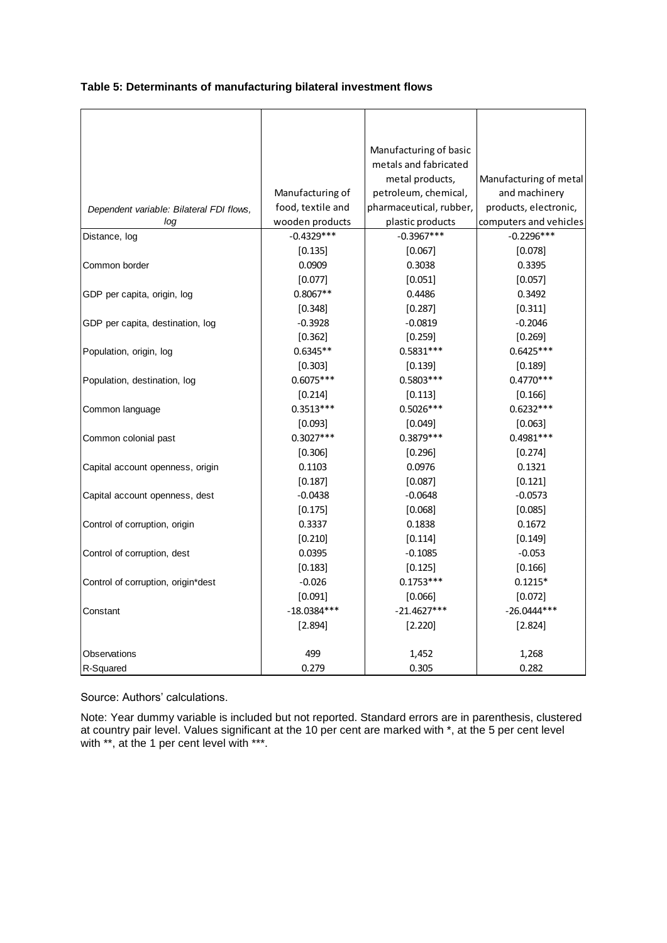#### **Table 5: Determinants of manufacturing bilateral investment flows**

|                                          |                   | Manufacturing of basic  |                        |
|------------------------------------------|-------------------|-------------------------|------------------------|
|                                          |                   | metals and fabricated   |                        |
|                                          |                   | metal products,         | Manufacturing of metal |
|                                          | Manufacturing of  | petroleum, chemical,    | and machinery          |
| Dependent variable: Bilateral FDI flows, | food, textile and | pharmaceutical, rubber, | products, electronic,  |
| log                                      | wooden products   | plastic products        | computers and vehicles |
| Distance, log                            | $-0.4329***$      | $-0.3967***$            | $-0.2296***$           |
|                                          | [0.135]           | [0.067]                 | [0.078]                |
| Common border                            | 0.0909            | 0.3038                  | 0.3395                 |
|                                          | [0.077]           | [0.051]                 | [0.057]                |
| GDP per capita, origin, log              | $0.8067**$        | 0.4486                  | 0.3492                 |
|                                          | [0.348]           | [0.287]                 | [0.311]                |
| GDP per capita, destination, log         | $-0.3928$         | $-0.0819$               | $-0.2046$              |
|                                          | [0.362]           | [0.259]                 | $[0.269]$              |
| Population, origin, log                  | $0.6345**$        | $0.5831***$             | $0.6425***$            |
|                                          | [0.303]           | [0.139]                 | [0.189]                |
| Population, destination, log             | $0.6075***$       | $0.5803***$             | $0.4770***$            |
|                                          | [0.214]           | [0.113]                 | [0.166]                |
| Common language                          | $0.3513***$       | $0.5026***$             | $0.6232***$            |
|                                          | [0.093]           | [0.049]                 | [0.063]                |
| Common colonial past                     | $0.3027***$       | $0.3879***$             | $0.4981***$            |
|                                          | [0.306]           | [0.296]                 | [0.274]                |
| Capital account openness, origin         | 0.1103            | 0.0976                  | 0.1321                 |
|                                          | [0.187]           | [0.087]                 | [0.121]                |
| Capital account openness, dest           | $-0.0438$         | $-0.0648$               | $-0.0573$              |
|                                          | [0.175]           | [0.068]                 | [0.085]                |
| Control of corruption, origin            | 0.3337            | 0.1838                  | 0.1672                 |
|                                          | [0.210]           | [0.114]                 | [0.149]                |
| Control of corruption, dest              | 0.0395            | $-0.1085$               | $-0.053$               |
|                                          | [0.183]           | [0.125]                 | [0.166]                |
| Control of corruption, origin*dest       | $-0.026$          | $0.1753***$             | $0.1215*$              |
|                                          | [0.091]           | [0.066]                 | [0.072]                |
| Constant                                 | $-18.0384***$     | $-21.4627***$           | $-26.0444***$          |
|                                          | [2.894]           | [2.220]                 | [2.824]                |
|                                          |                   |                         |                        |
| Observations                             | 499               | 1,452                   | 1,268                  |
| R-Squared                                | 0.279             | 0.305                   | 0.282                  |

Source: Authors' calculations.

Note: Year dummy variable is included but not reported. Standard errors are in parenthesis, clustered at country pair level. Values significant at the 10 per cent are marked with \*, at the 5 per cent level with \*\*, at the 1 per cent level with \*\*\*.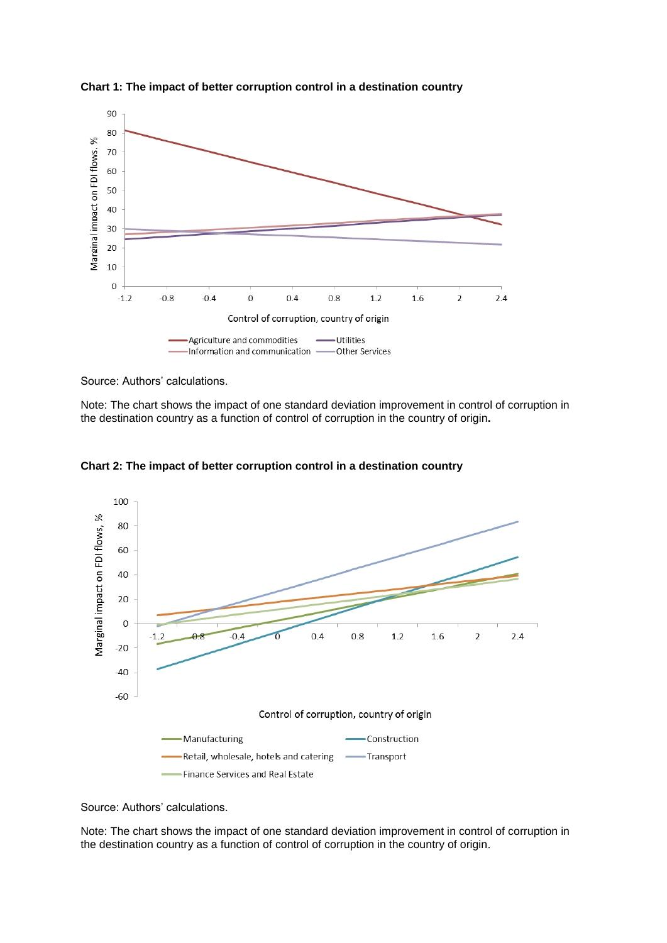

**Chart 1: The impact of better corruption control in a destination country**

Source: Authors' calculations.

Note: The chart shows the impact of one standard deviation improvement in control of corruption in the destination country as a function of control of corruption in the country of origin**.**



**Chart 2: The impact of better corruption control in a destination country**

Source: Authors' calculations.

Note: The chart shows the impact of one standard deviation improvement in control of corruption in the destination country as a function of control of corruption in the country of origin.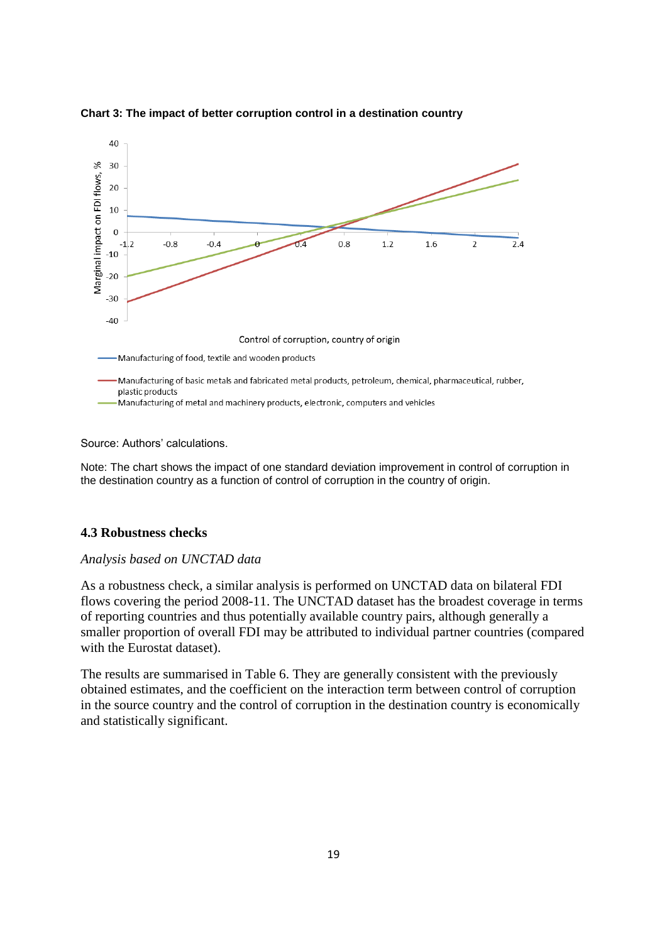

**Chart 3: The impact of better corruption control in a destination country**

Source: Authors' calculations.

Note: The chart shows the impact of one standard deviation improvement in control of corruption in the destination country as a function of control of corruption in the country of origin.

#### **4.3 Robustness checks**

#### *Analysis based on UNCTAD data*

As a robustness check, a similar analysis is performed on UNCTAD data on bilateral FDI flows covering the period 2008-11. The UNCTAD dataset has the broadest coverage in terms of reporting countries and thus potentially available country pairs, although generally a smaller proportion of overall FDI may be attributed to individual partner countries (compared with the Eurostat dataset).

The results are summarised in Table 6. They are generally consistent with the previously obtained estimates, and the coefficient on the interaction term between control of corruption in the source country and the control of corruption in the destination country is economically and statistically significant.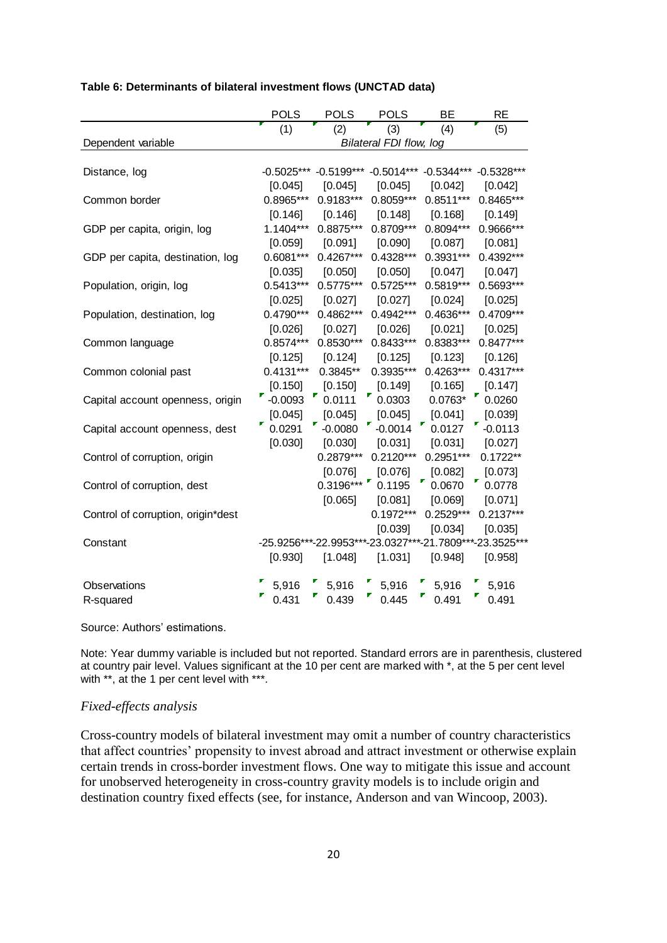|                                    | <b>POLS</b>  | <b>POLS</b> | <b>POLS</b>             | BE                                     | <b>RE</b>                                               |
|------------------------------------|--------------|-------------|-------------------------|----------------------------------------|---------------------------------------------------------|
|                                    | (1)          | (2)         | (3)                     | (4)                                    | (5)                                                     |
| Dependent variable                 |              |             | Bilateral FDI flow, log |                                        |                                                         |
|                                    |              |             |                         |                                        |                                                         |
| Distance, log                      | $-0.5025***$ |             |                         | $-0.5199***$ $-0.5014***$ $-0.5344***$ | $-0.5328***$                                            |
|                                    | [0.045]      | [0.045]     | [0.045]                 | [0.042]                                | [0.042]                                                 |
| Common border                      | 0.8965***    | $0.9183***$ | $0.8059***$             | $0.8511***$                            | 0.8465***                                               |
|                                    | [0.146]      | [0.146]     | [0.148]                 | [0.168]                                | [0.149]                                                 |
| GDP per capita, origin, log        | 1.1404***    | $0.8875***$ | $0.8709***$             | $0.8094***$                            | 0.9666***                                               |
|                                    | [0.059]      | [0.091]     | [0.090]                 | [0.087]                                | [0.081]                                                 |
| GDP per capita, destination, log   | $0.6081***$  | $0.4267***$ | $0.4328***$             | 0.3931***                              | 0.4392***                                               |
|                                    | [0.035]      | [0.050]     | [0.050]                 | [0.047]                                | [0.047]                                                 |
| Population, origin, log            | $0.5413***$  | $0.5775***$ | $0.5725***$             | $0.5819***$                            | 0.5693***                                               |
|                                    | [0.025]      | [0.027]     | [0.027]                 | [0.024]                                | [0.025]                                                 |
| Population, destination, log       | $0.4790***$  | 0.4862***   | 0.4942***               | 0.4636***                              | 0.4709***                                               |
|                                    | [0.026]      | [0.027]     | [0.026]                 | [0.021]                                | [0.025]                                                 |
| Common language                    | $0.8574***$  | $0.8530***$ | $0.8433***$             | 0.8383***                              | $0.8477***$                                             |
|                                    | [0.125]      | [0.124]     | [0.125]                 | [0.123]                                | [0.126]                                                 |
| Common colonial past               | $0.4131***$  | $0.3845**$  | $0.3935***$             | $0.4263***$                            | $0.4317***$                                             |
|                                    | [0.150]      | [0.150]     | [0.149]                 | [0.165]                                | [0.147]                                                 |
| Capital account openness, origin   | $-0.0093$    | 0.0111      | 0.0303                  | $0.0763*$                              | 0.0260                                                  |
|                                    | [0.045]      | [0.045]     | [0.045]                 | [0.041]                                | [0.039]                                                 |
| Capital account openness, dest     | 0.0291       | $-0.0080$   | $-0.0014$               | 0.0127                                 | $-0.0113$                                               |
|                                    | [0.030]      | [0.030]     | [0.031]                 | [0.031]                                | [0.027]                                                 |
| Control of corruption, origin      |              | $0.2879***$ | $0.2120***$             | $0.2951***$                            | $0.1722**$                                              |
|                                    |              | [0.076]     | [0.076]                 | [0.082]                                | [0.073]                                                 |
| Control of corruption, dest        |              | $0.3196***$ | 0.1195                  | 0.0670                                 | 0.0778                                                  |
|                                    |              | [0.065]     | [0.081]                 | [0.069]                                | [0.071]                                                 |
| Control of corruption, origin*dest |              |             | $0.1972***$             | $0.2529***$                            | $0.2137***$                                             |
|                                    |              |             | [0.039]                 | [0.034]                                | [0.035]                                                 |
| Constant                           |              |             |                         |                                        | -25.9256***-22.9953***-23.0327***-21.7809***-23.3525*** |
|                                    | [0.930]      | [1.048]     | [1.031]                 | [0.948]                                | [0.958]                                                 |
| Observations                       | 5,916        | 5,916       | 5,916                   | 5,916                                  | 5,916                                                   |
| R-squared                          | 0.431        | 0.439       | 0.445                   | 0.491                                  | 0.491                                                   |

#### **Table 6: Determinants of bilateral investment flows (UNCTAD data)**

Source: Authors' estimations.

Note: Year dummy variable is included but not reported. Standard errors are in parenthesis, clustered at country pair level. Values significant at the 10 per cent are marked with \*, at the 5 per cent level with \*\*, at the 1 per cent level with \*\*\*.

#### *Fixed-effects analysis*

Cross-country models of bilateral investment may omit a number of country characteristics that affect countries' propensity to invest abroad and attract investment or otherwise explain certain trends in cross-border investment flows. One way to mitigate this issue and account for unobserved heterogeneity in cross-country gravity models is to include origin and destination country fixed effects (see, for instance, Anderson and van Wincoop, 2003).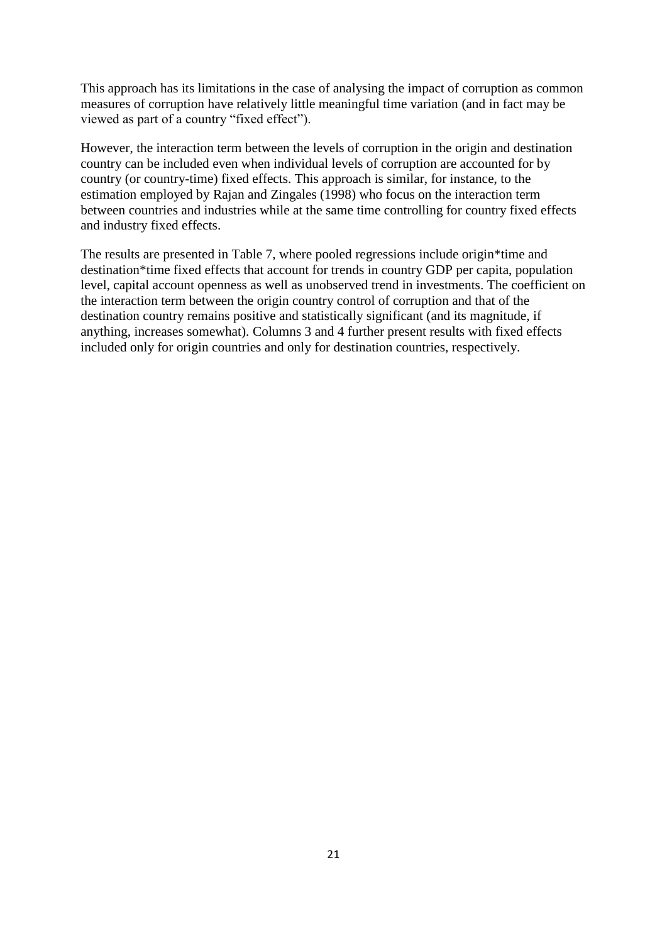This approach has its limitations in the case of analysing the impact of corruption as common measures of corruption have relatively little meaningful time variation (and in fact may be viewed as part of a country "fixed effect").

However, the interaction term between the levels of corruption in the origin and destination country can be included even when individual levels of corruption are accounted for by country (or country-time) fixed effects. This approach is similar, for instance, to the estimation employed by Rajan and Zingales (1998) who focus on the interaction term between countries and industries while at the same time controlling for country fixed effects and industry fixed effects.

The results are presented in Table 7, where pooled regressions include origin\*time and destination\*time fixed effects that account for trends in country GDP per capita, population level, capital account openness as well as unobserved trend in investments. The coefficient on the interaction term between the origin country control of corruption and that of the destination country remains positive and statistically significant (and its magnitude, if anything, increases somewhat). Columns 3 and 4 further present results with fixed effects included only for origin countries and only for destination countries, respectively.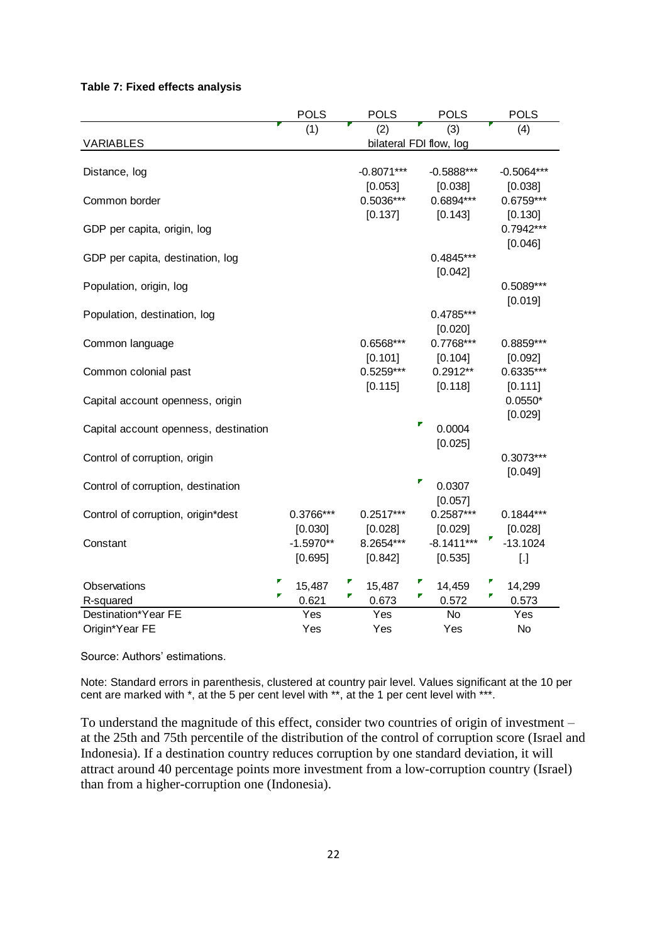#### **Table 7: Fixed effects analysis**

| (3)<br>(4)<br>(1)<br><b>VARIABLES</b><br>bilateral FDI flow, log<br>$-0.8071***$<br>$-0.5888***$<br>Distance, log<br>-0.5064***<br>[0.053]<br>[0.038]<br>[0.038]<br>0.5036***<br>0.6894***<br>0.6759***<br>Common border<br>[0.137]<br>[0.143]<br>[0.130]<br>0.7942***<br>GDP per capita, origin, log<br>[0.046]<br>GDP per capita, destination, log<br>$0.4845***$<br>[0.042]<br>Population, origin, log<br>0.5089***<br>[0.019]<br>0.4785***<br>Population, destination, log<br>[0.020]<br>$0.7768***$<br>0.6568***<br>0.8859***<br>Common language<br>[0.101]<br>[0.104]<br>[0.092]<br>$0.5259***$<br>$0.2912**$<br>0.6335***<br>Common colonial past<br>[0.118]<br>[0.115]<br>[0.111]<br>$0.0550*$<br>Capital account openness, origin<br>[0.029]<br>Г<br>0.0004<br>Capital account openness, destination |  | <b>POLS</b> |  | <b>POLS</b> |  | <b>POLS</b> |  | <b>POLS</b> |
|---------------------------------------------------------------------------------------------------------------------------------------------------------------------------------------------------------------------------------------------------------------------------------------------------------------------------------------------------------------------------------------------------------------------------------------------------------------------------------------------------------------------------------------------------------------------------------------------------------------------------------------------------------------------------------------------------------------------------------------------------------------------------------------------------------------|--|-------------|--|-------------|--|-------------|--|-------------|
|                                                                                                                                                                                                                                                                                                                                                                                                                                                                                                                                                                                                                                                                                                                                                                                                               |  |             |  |             |  |             |  |             |
|                                                                                                                                                                                                                                                                                                                                                                                                                                                                                                                                                                                                                                                                                                                                                                                                               |  |             |  |             |  |             |  |             |
|                                                                                                                                                                                                                                                                                                                                                                                                                                                                                                                                                                                                                                                                                                                                                                                                               |  |             |  |             |  |             |  |             |
|                                                                                                                                                                                                                                                                                                                                                                                                                                                                                                                                                                                                                                                                                                                                                                                                               |  |             |  |             |  |             |  |             |
|                                                                                                                                                                                                                                                                                                                                                                                                                                                                                                                                                                                                                                                                                                                                                                                                               |  |             |  |             |  |             |  |             |
|                                                                                                                                                                                                                                                                                                                                                                                                                                                                                                                                                                                                                                                                                                                                                                                                               |  |             |  |             |  |             |  |             |
|                                                                                                                                                                                                                                                                                                                                                                                                                                                                                                                                                                                                                                                                                                                                                                                                               |  |             |  |             |  |             |  |             |
|                                                                                                                                                                                                                                                                                                                                                                                                                                                                                                                                                                                                                                                                                                                                                                                                               |  |             |  |             |  |             |  |             |
|                                                                                                                                                                                                                                                                                                                                                                                                                                                                                                                                                                                                                                                                                                                                                                                                               |  |             |  |             |  |             |  |             |
|                                                                                                                                                                                                                                                                                                                                                                                                                                                                                                                                                                                                                                                                                                                                                                                                               |  |             |  |             |  |             |  |             |
|                                                                                                                                                                                                                                                                                                                                                                                                                                                                                                                                                                                                                                                                                                                                                                                                               |  |             |  |             |  |             |  |             |
|                                                                                                                                                                                                                                                                                                                                                                                                                                                                                                                                                                                                                                                                                                                                                                                                               |  |             |  |             |  |             |  |             |
|                                                                                                                                                                                                                                                                                                                                                                                                                                                                                                                                                                                                                                                                                                                                                                                                               |  |             |  |             |  |             |  |             |
|                                                                                                                                                                                                                                                                                                                                                                                                                                                                                                                                                                                                                                                                                                                                                                                                               |  |             |  |             |  |             |  |             |
|                                                                                                                                                                                                                                                                                                                                                                                                                                                                                                                                                                                                                                                                                                                                                                                                               |  |             |  |             |  |             |  |             |
|                                                                                                                                                                                                                                                                                                                                                                                                                                                                                                                                                                                                                                                                                                                                                                                                               |  |             |  |             |  |             |  |             |
|                                                                                                                                                                                                                                                                                                                                                                                                                                                                                                                                                                                                                                                                                                                                                                                                               |  |             |  |             |  |             |  |             |
|                                                                                                                                                                                                                                                                                                                                                                                                                                                                                                                                                                                                                                                                                                                                                                                                               |  |             |  |             |  |             |  |             |
|                                                                                                                                                                                                                                                                                                                                                                                                                                                                                                                                                                                                                                                                                                                                                                                                               |  |             |  |             |  |             |  |             |
|                                                                                                                                                                                                                                                                                                                                                                                                                                                                                                                                                                                                                                                                                                                                                                                                               |  |             |  |             |  |             |  |             |
|                                                                                                                                                                                                                                                                                                                                                                                                                                                                                                                                                                                                                                                                                                                                                                                                               |  |             |  |             |  | [0.025]     |  |             |
| Control of corruption, origin<br>0.3073***                                                                                                                                                                                                                                                                                                                                                                                                                                                                                                                                                                                                                                                                                                                                                                    |  |             |  |             |  |             |  |             |
| [0.049]                                                                                                                                                                                                                                                                                                                                                                                                                                                                                                                                                                                                                                                                                                                                                                                                       |  |             |  |             |  |             |  |             |
| ۳<br>0.0307<br>Control of corruption, destination                                                                                                                                                                                                                                                                                                                                                                                                                                                                                                                                                                                                                                                                                                                                                             |  |             |  |             |  |             |  |             |
| [0.057]                                                                                                                                                                                                                                                                                                                                                                                                                                                                                                                                                                                                                                                                                                                                                                                                       |  |             |  |             |  |             |  |             |
| $0.2587***$<br>$0.1844***$<br>Control of corruption, origin*dest<br>0.3766***<br>$0.2517***$                                                                                                                                                                                                                                                                                                                                                                                                                                                                                                                                                                                                                                                                                                                  |  |             |  |             |  |             |  |             |
| [0.028]<br>[0.030]<br>[0.028]<br>[0.029]                                                                                                                                                                                                                                                                                                                                                                                                                                                                                                                                                                                                                                                                                                                                                                      |  |             |  |             |  |             |  |             |
| 8.2654***<br>$-8.1411***$<br>$-13.1024$<br>$-1.5970**$<br>Constant                                                                                                                                                                                                                                                                                                                                                                                                                                                                                                                                                                                                                                                                                                                                            |  |             |  |             |  |             |  |             |
| [0.695]<br>[0.842]<br>[0.535]<br>$[.]$                                                                                                                                                                                                                                                                                                                                                                                                                                                                                                                                                                                                                                                                                                                                                                        |  |             |  |             |  |             |  |             |
| 14,299<br>15,487<br>14,459<br>Observations<br>15,487                                                                                                                                                                                                                                                                                                                                                                                                                                                                                                                                                                                                                                                                                                                                                          |  |             |  |             |  |             |  |             |
| 0.621<br>0.673<br>0.572<br>0.573<br>R-squared                                                                                                                                                                                                                                                                                                                                                                                                                                                                                                                                                                                                                                                                                                                                                                 |  |             |  |             |  |             |  |             |
| Destination*Year FE<br><b>No</b><br>Yes<br>Yes<br>Yes                                                                                                                                                                                                                                                                                                                                                                                                                                                                                                                                                                                                                                                                                                                                                         |  |             |  |             |  |             |  |             |
| Origin*Year FE<br>Yes<br>Yes<br>Yes<br>No                                                                                                                                                                                                                                                                                                                                                                                                                                                                                                                                                                                                                                                                                                                                                                     |  |             |  |             |  |             |  |             |

Source: Authors' estimations.

Note: Standard errors in parenthesis, clustered at country pair level. Values significant at the 10 per cent are marked with \*, at the 5 per cent level with \*\*, at the 1 per cent level with \*\*\*.

To understand the magnitude of this effect, consider two countries of origin of investment – at the 25th and 75th percentile of the distribution of the control of corruption score (Israel and Indonesia). If a destination country reduces corruption by one standard deviation, it will attract around 40 percentage points more investment from a low-corruption country (Israel) than from a higher-corruption one (Indonesia).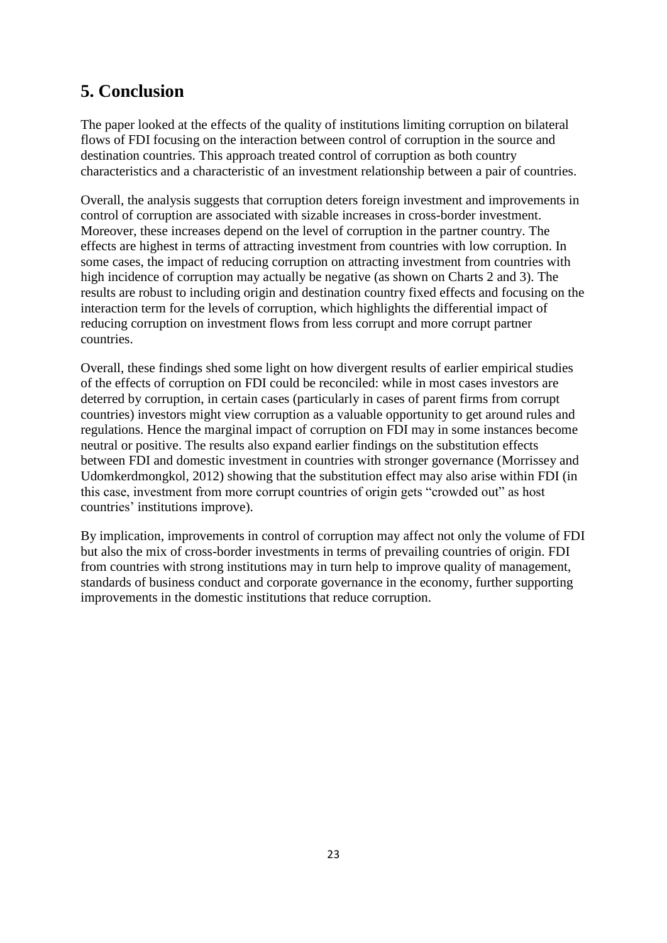# **5. Conclusion**

The paper looked at the effects of the quality of institutions limiting corruption on bilateral flows of FDI focusing on the interaction between control of corruption in the source and destination countries. This approach treated control of corruption as both country characteristics and a characteristic of an investment relationship between a pair of countries.

Overall, the analysis suggests that corruption deters foreign investment and improvements in control of corruption are associated with sizable increases in cross-border investment. Moreover, these increases depend on the level of corruption in the partner country. The effects are highest in terms of attracting investment from countries with low corruption. In some cases, the impact of reducing corruption on attracting investment from countries with high incidence of corruption may actually be negative (as shown on Charts 2 and 3). The results are robust to including origin and destination country fixed effects and focusing on the interaction term for the levels of corruption, which highlights the differential impact of reducing corruption on investment flows from less corrupt and more corrupt partner countries.

Overall, these findings shed some light on how divergent results of earlier empirical studies of the effects of corruption on FDI could be reconciled: while in most cases investors are deterred by corruption, in certain cases (particularly in cases of parent firms from corrupt countries) investors might view corruption as a valuable opportunity to get around rules and regulations. Hence the marginal impact of corruption on FDI may in some instances become neutral or positive. The results also expand earlier findings on the substitution effects between FDI and domestic investment in countries with stronger governance (Morrissey and Udomkerdmongkol, 2012) showing that the substitution effect may also arise within FDI (in this case, investment from more corrupt countries of origin gets "crowded out" as host countries' institutions improve).

By implication, improvements in control of corruption may affect not only the volume of FDI but also the mix of cross-border investments in terms of prevailing countries of origin. FDI from countries with strong institutions may in turn help to improve quality of management, standards of business conduct and corporate governance in the economy, further supporting improvements in the domestic institutions that reduce corruption.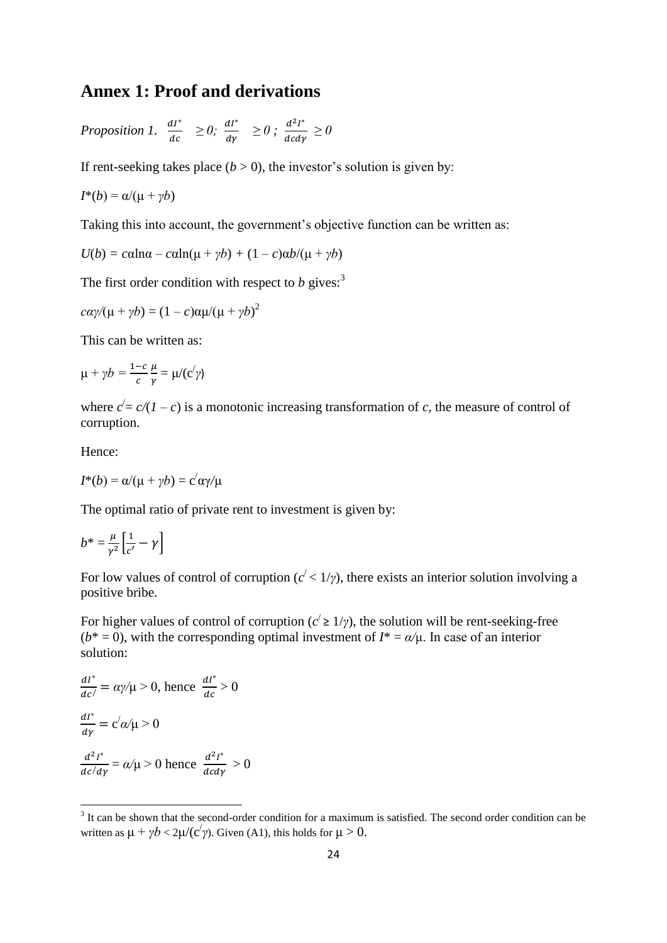## **Annex 1: Proof and derivations**

*Proposition 1.*  $\frac{dI^*}{dt^*}$  $rac{dI^*}{dc} \geq 0$ ;  $rac{dI^*}{d\gamma}$  $\frac{dI^*}{d\gamma} \geq 0$ ;  $\frac{d^2I^*}{dcd\gamma}$  $\frac{d}{d}$  *d*<sub> $d\gamma$ </sub>  $\geq 0$ 

If rent-seeking takes place  $(b > 0)$ , the investor's solution is given by:

$$
I^*(b) = \alpha/(\mu + \gamma b)
$$

Taking this into account, the government's objective function can be written as:

$$
U(b) = c \alpha \ln \alpha - c \alpha \ln(\mu + \gamma b) + (1 - c) \alpha b / (\mu + \gamma b)
$$

The first order condition with respect to  $b$  gives:<sup>3</sup>

$$
c\alpha\gamma/(\mu + \gamma b) = (1 - c)\alpha\mu/(\mu + \gamma b)^2
$$

This can be written as:

$$
\mu + \gamma b = \frac{1-c}{c} \frac{\mu}{\gamma} = \mu/(c'\gamma)
$$

where  $c' = c/(1 - c)$  is a monotonic increasing transformation of *c*, the measure of control of corruption.

Hence:

$$
I^*(b) = \alpha/(\mu + \gamma b) = c'\alpha\gamma/\mu
$$

The optimal ratio of private rent to investment is given by:

$$
b^* = \frac{\mu}{\gamma^2} \left[ \frac{1}{c'} - \gamma \right]
$$

For low values of control of corruption  $(c' < 1/\gamma)$ , there exists an interior solution involving a positive bribe.

For higher values of control of corruption ( $c' \ge 1/\gamma$ ), the solution will be rent-seeking-free ( $b^* = 0$ ), with the corresponding optimal investment of  $I^* = \alpha/\mu$ . In case of an interior solution:

$$
\frac{dI^*}{dc'} = \alpha \gamma/\mu > 0, \text{ hence } \frac{dI^*}{dc} > 0
$$
  

$$
\frac{dI^*}{d\gamma} = c'\alpha/\mu > 0
$$
  

$$
\frac{d^2I^*}{dc/d\gamma} = \alpha/\mu > 0 \text{ hence } \frac{d^2I^*}{dcd\gamma} > 0
$$

<sup>&</sup>lt;sup>3</sup> It can be shown that the second-order condition for a maximum is satisfied. The second order condition can be written as  $\mu + \gamma b < 2\mu/(c'\gamma)$ . Given (A1), this holds for  $\mu > 0$ .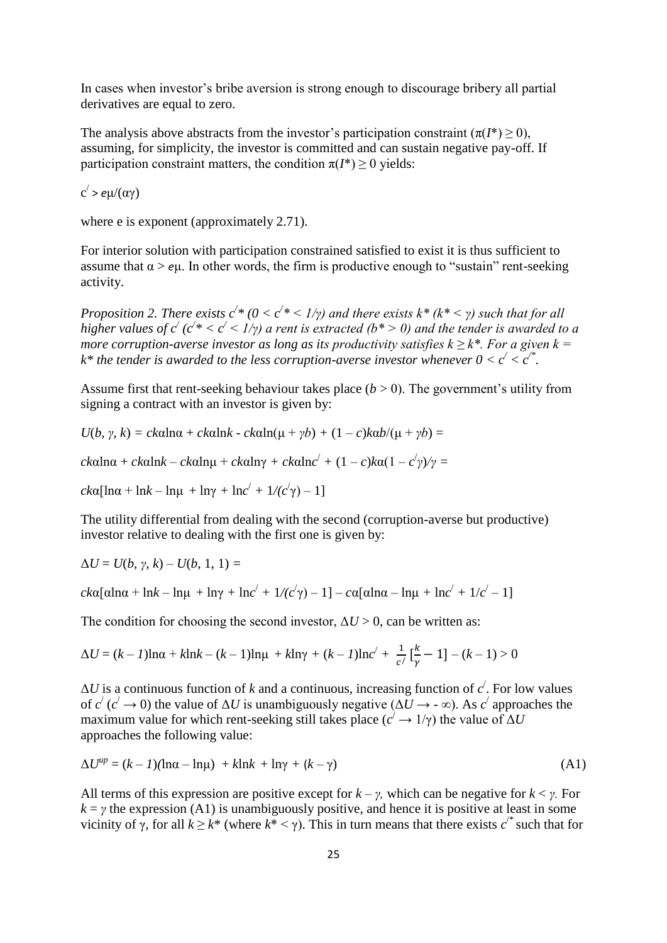In cases when investor's bribe aversion is strong enough to discourage bribery all partial derivatives are equal to zero.

The analysis above abstracts from the investor's participation constraint  $(\pi(I^*) > 0)$ , assuming, for simplicity, the investor is committed and can sustain negative pay-off. If participation constraint matters, the condition  $\pi(I^*) \geq 0$  yields:

c / > *e*μ/(αγ)

where e is exponent (approximately 2.71).

For interior solution with participation constrained satisfied to exist it is thus sufficient to assume that  $\alpha > e\mu$ . In other words, the firm is productive enough to "sustain" rent-seeking activity.

*Proposition 2. There exists*  $c^*$  *(0 <*  $c^*$  *< 1/γ) and there exists*  $k^*$  *(* $k^*$  *< γ) such that for all higher values of*  $c'$  *(* $c' * < c' < 1/\gamma$ *) a rent is extracted (* $b^* > 0$ *) and the tender is awarded to a more corruption-averse investor as long as its productivity satisfies k*  $\geq k^*$ *. For a given k = k*<sup>\*</sup> the tender is awarded to the less corruption-averse investor whenever  $0 < c' < c'^*$ .

Assume first that rent-seeking behaviour takes place  $(b > 0)$ . The government's utility from signing a contract with an investor is given by:

*U*(*b*, *γ*, *k*) = *ck*αlnα + *ckαlnk* - *ckαln*(μ + *γb*) + (1 – *c*)*kαb*/(μ + *γb*) =

*ck*αlnα + *ck*αln*k* – *ck*αlnμ + *ck*αlnγ *+ ck*αln*c* / *+* (1 – *c*)*k*α(1 – *c* / *γ*)*/γ =*

*ck*α[lnα + ln*k* – lnμ + lnγ + ln*c*<sup> $\prime$ </sup> + 1/(*c*<sup> $\prime$ </sup>γ) – 1]

The utility differential from dealing with the second (corruption-averse but productive) investor relative to dealing with the first one is given by:

 $ΔU = U(b, γ, k) - U(b, 1, 1) =$ 

*ck*α[αlnα + ln*k* – lnμ + lnγ + ln*c*<sup>'</sup> + 1/(*c*<sup>'</sup>γ) – 1] – *c*α[αlnα – lnμ + ln*c*<sup>'</sup> + 1/*c*<sup>'</sup> – 1]

The condition for choosing the second investor,  $\Delta U > 0$ , can be written as:

$$
\Delta U = (k - 1)\ln \alpha + k \ln k - (k - 1)\ln \mu + k \ln \gamma + (k - 1)\ln c' + \frac{1}{c'} \left[\frac{k}{\gamma} - 1\right] - (k - 1) > 0
$$

 $\Delta U$  is a continuous function of *k* and a continuous, increasing function of *c*<sup>'</sup>. For low values of  $c'(c' \to 0)$  the value of  $\Delta U$  is unambiguously negative ( $\Delta U \to -\infty$ ). As  $c'$  approaches the maximum value for which rent-seeking still takes place  $(c^2 \rightarrow 1/\gamma)$  the value of  $\Delta U$ approaches the following value:

$$
\Delta U^{up} = (k - 1)(\ln \alpha - \ln \mu) + k \ln k + \ln \gamma + (k - \gamma) \tag{A1}
$$

All terms of this expression are positive except for  $k - \gamma$ , which can be negative for  $k < \gamma$ . For  $k = \gamma$  the expression (A1) is unambiguously positive, and hence it is positive at least in some vicinity of γ, for all  $k \geq k^*$  (where  $k^* < \gamma$ ). This in turn means that there exists  $c^{i*}$  such that for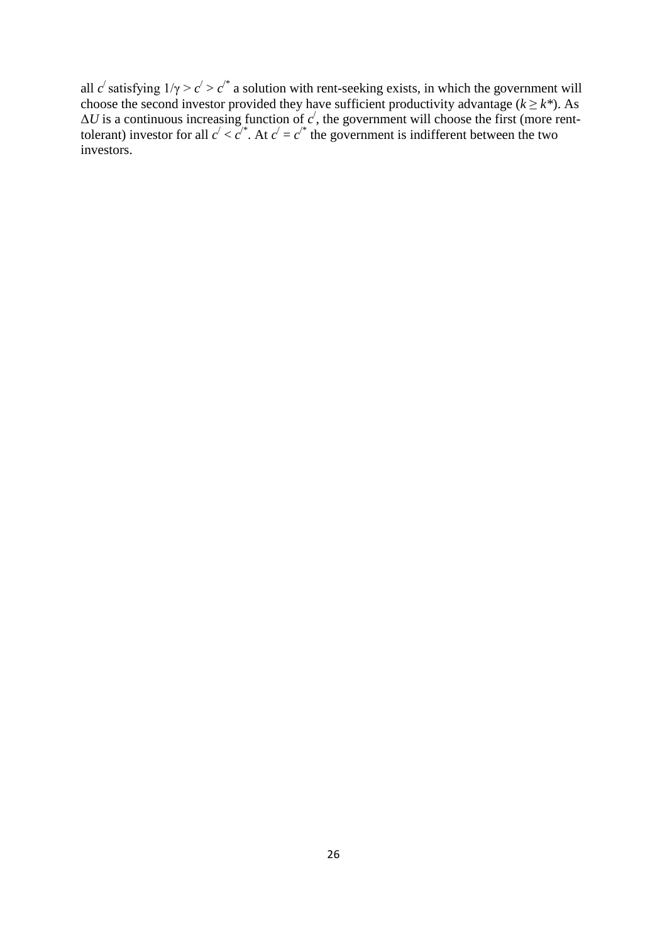all *c*<sup> $\prime$ </sup> satisfying  $1/\gamma > c' > c'$ <sup>\*</sup> a solution with rent-seeking exists, in which the government will choose the second investor provided they have sufficient productivity advantage ( $k \geq k^*$ ). As  $\Delta U$  is a continuous increasing function of  $c'$ , the government will choose the first (more renttolerant) investor for all  $c' < c''$ . At  $c' = c''$  the government is indifferent between the two investors.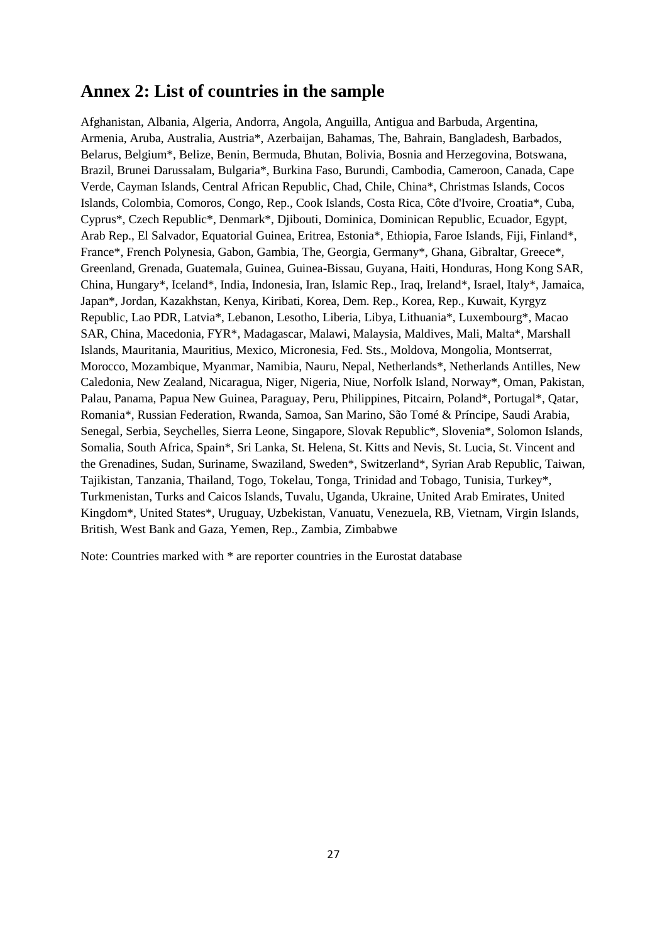### **Annex 2: List of countries in the sample**

Afghanistan, Albania, Algeria, Andorra, Angola, Anguilla, Antigua and Barbuda, Argentina, Armenia, Aruba, Australia, Austria\*, Azerbaijan, Bahamas, The, Bahrain, Bangladesh, Barbados, Belarus, Belgium\*, Belize, Benin, Bermuda, Bhutan, Bolivia, Bosnia and Herzegovina, Botswana, Brazil, Brunei Darussalam, Bulgaria\*, Burkina Faso, Burundi, Cambodia, Cameroon, Canada, Cape Verde, Cayman Islands, Central African Republic, Chad, Chile, China\*, Christmas Islands, Cocos Islands, Colombia, Comoros, Congo, Rep., Cook Islands, Costa Rica, Côte d'Ivoire, Croatia\*, Cuba, Cyprus\*, Czech Republic\*, Denmark\*, Djibouti, Dominica, Dominican Republic, Ecuador, Egypt, Arab Rep., El Salvador, Equatorial Guinea, Eritrea, Estonia\*, Ethiopia, Faroe Islands, Fiji, Finland\*, France\*, French Polynesia, Gabon, Gambia, The, Georgia, Germany\*, Ghana, Gibraltar, Greece\*, Greenland, Grenada, Guatemala, Guinea, Guinea-Bissau, Guyana, Haiti, Honduras, Hong Kong SAR, China, Hungary\*, Iceland\*, India, Indonesia, Iran, Islamic Rep., Iraq, Ireland\*, Israel, Italy\*, Jamaica, Japan\*, Jordan, Kazakhstan, Kenya, Kiribati, Korea, Dem. Rep., Korea, Rep., Kuwait, Kyrgyz Republic, Lao PDR, Latvia\*, Lebanon, Lesotho, Liberia, Libya, Lithuania\*, Luxembourg\*, Macao SAR, China, Macedonia, FYR\*, Madagascar, Malawi, Malaysia, Maldives, Mali, Malta\*, Marshall Islands, Mauritania, Mauritius, Mexico, Micronesia, Fed. Sts., Moldova, Mongolia, Montserrat, Morocco, Mozambique, Myanmar, Namibia, Nauru, Nepal, Netherlands\*, Netherlands Antilles, New Caledonia, New Zealand, Nicaragua, Niger, Nigeria, Niue, Norfolk Island, Norway\*, Oman, Pakistan, Palau, Panama, Papua New Guinea, Paraguay, Peru, Philippines, Pitcairn, Poland\*, Portugal\*, Qatar, Romania\*, Russian Federation, Rwanda, Samoa, San Marino, São Tomé & Príncipe, Saudi Arabia, Senegal, Serbia, Seychelles, Sierra Leone, Singapore, Slovak Republic\*, Slovenia\*, Solomon Islands, Somalia, South Africa, Spain\*, Sri Lanka, St. Helena, St. Kitts and Nevis, St. Lucia, St. Vincent and the Grenadines, Sudan, Suriname, Swaziland, Sweden\*, Switzerland\*, Syrian Arab Republic, Taiwan, Tajikistan, Tanzania, Thailand, Togo, Tokelau, Tonga, Trinidad and Tobago, Tunisia, Turkey\*, Turkmenistan, Turks and Caicos Islands, Tuvalu, Uganda, Ukraine, United Arab Emirates, United Kingdom\*, United States\*, Uruguay, Uzbekistan, Vanuatu, Venezuela, RB, Vietnam, Virgin Islands, British, West Bank and Gaza, Yemen, Rep., Zambia, Zimbabwe

Note: Countries marked with \* are reporter countries in the Eurostat database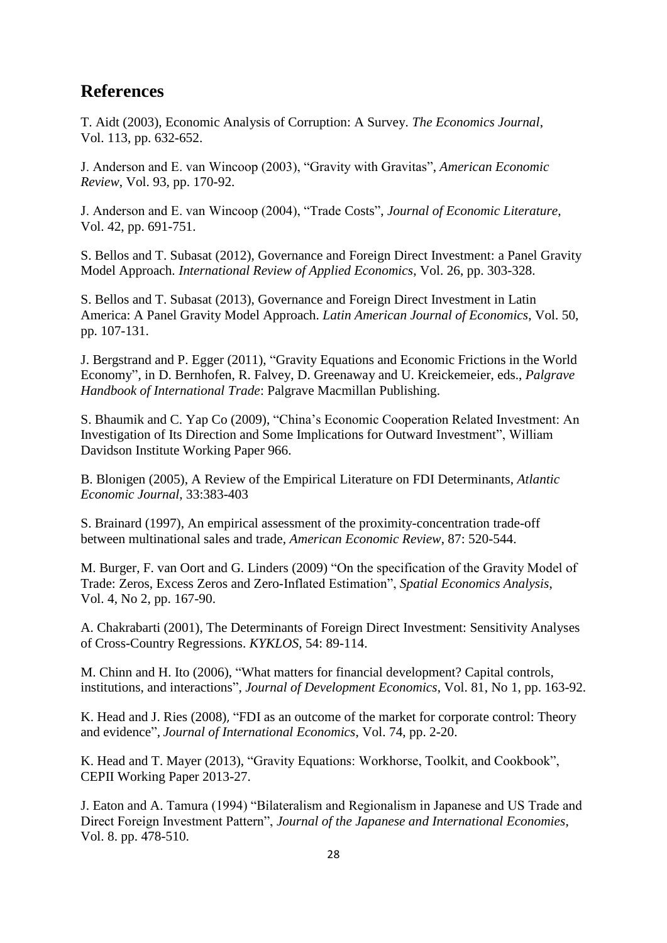### **References**

T. Aidt (2003), Economic Analysis of Corruption: A Survey. *The Economics Journal*, Vol. 113, pp. 632-652.

J. Anderson and E. van Wincoop (2003), "Gravity with Gravitas", *American Economic Review*, Vol. 93, pp. 170-92.

J. Anderson and E. van Wincoop (2004), "Trade Costs", *Journal of Economic Literature*, Vol. 42, pp. 691-751.

S. Bellos and T. Subasat (2012), Governance and Foreign Direct Investment: a Panel Gravity Model Approach. *International Review of Applied Economics*, Vol. 26, pp. 303-328.

S. Bellos and T. Subasat (2013), Governance and Foreign Direct Investment in Latin America: A Panel Gravity Model Approach. *Latin American Journal of Economics*, Vol. 50, pp. 107-131.

J. Bergstrand and P. Egger (2011), "Gravity Equations and Economic Frictions in the World Economy", in D. Bernhofen, R. Falvey, D. Greenaway and U. Kreickemeier, eds., *Palgrave Handbook of International Trade*: Palgrave Macmillan Publishing.

S. Bhaumik and C. Yap Co (2009), "China's Economic Cooperation Related Investment: An Investigation of Its Direction and Some Implications for Outward Investment", William Davidson Institute Working Paper 966.

B. Blonigen (2005), A Review of the Empirical Literature on FDI Determinants, *Atlantic Economic Journal*, 33:383-403

S. Brainard (1997), An empirical assessment of the proximity-concentration trade-off between multinational sales and trade, *American Economic Review*, 87: 520-544.

M. Burger, F. van Oort and G. Linders (2009) "On the specification of the Gravity Model of Trade: Zeros, Excess Zeros and Zero-Inflated Estimation", *Spatial Economics Analysis*, Vol. 4, No 2, pp. 167-90.

A. Chakrabarti (2001), The Determinants of Foreign Direct Investment: Sensitivity Analyses of Cross-Country Regressions. *KYKLOS*, 54: 89-114.

M. Chinn and H. Ito (2006), "What matters for financial development? Capital controls, institutions, and interactions", *Journal of Development Economics*, Vol. 81, No 1, pp. 163-92.

K. Head and J. Ries (2008), ["FDI as an outcome of the market for corporate control: Theory](https://ideas.repec.org/a/eee/inecon/v74y2008i1p2-20.html)  [and evidence"](https://ideas.repec.org/a/eee/inecon/v74y2008i1p2-20.html), *Journal of International Economics*, Vol. 74, pp. 2-20.

K. Head and T. Mayer (2013), "Gravity Equations: Workhorse, Toolkit, and Cookbook", CEPII Working Paper 2013-27.

J. Eaton and A. Tamura (1994) "Bilateralism and Regionalism in Japanese and US Trade and Direct Foreign Investment Pattern", *Journal of the Japanese and International Economies*, Vol. 8. pp. 478-510.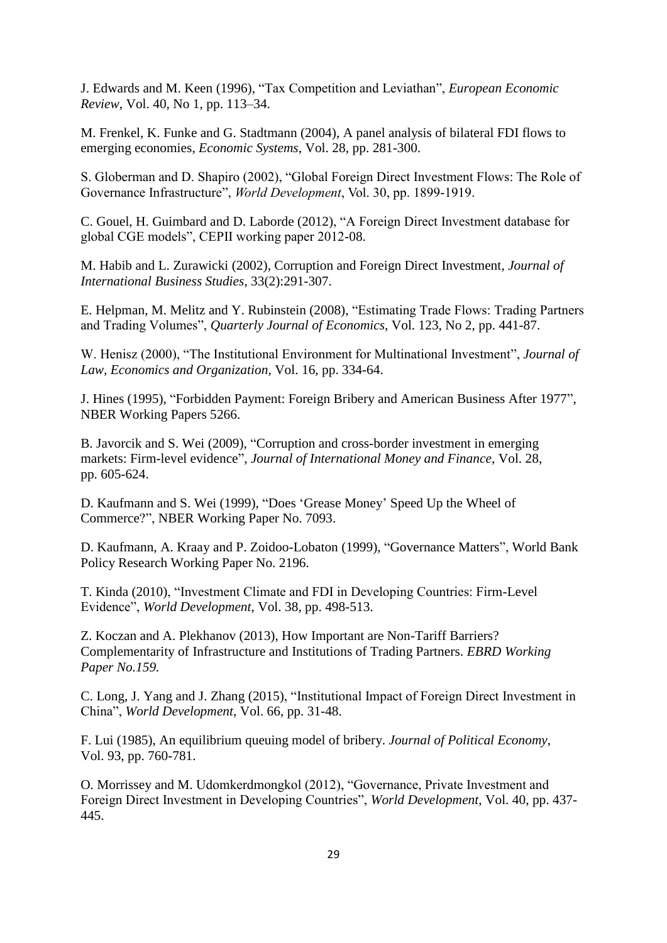J. Edwards and M. Keen (1996), "Tax Competition and Leviathan", *European Economic Review*, Vol. 40, No 1, pp. 113–34.

M. Frenkel, K. Funke and G. Stadtmann (2004), A panel analysis of bilateral FDI flows to emerging economies, *Economic Systems*, Vol. 28, pp. 281-300.

S. Globerman and D. Shapiro (2002), "Global Foreign Direct Investment Flows: The Role of Governance Infrastructure", *World Development*, Vol. 30, pp. 1899-1919.

C. Gouel, H. Guimbard and D. Laborde (2012), "A Foreign Direct Investment database for global CGE models", CEPII working paper 2012-08.

M. Habib and L. Zurawicki (2002), Corruption and Foreign Direct Investment, *Journal of International Business Studies*, 33(2):291-307.

E. Helpman, M. Melitz and Y. Rubinstein (2008), "Estimating Trade Flows: Trading Partners and Trading Volumes", *Quarterly Journal of Economics*, Vol. 123, No 2, pp. 441-87.

W. Henisz (2000), "The Institutional Environment for Multinational Investment", *Journal of Law, Economics and Organization*, Vol. 16, pp. 334-64.

J. Hines (1995), "Forbidden Payment: Foreign Bribery and American Business After 1977", NBER Working Papers 5266.

B. Javorcik and S. Wei (2009), ["Corruption and cross-border investment in emerging](http://ideas.repec.org/a/eee/jimfin/v28y2009i4p605-624.html)  [markets: Firm-level evidence"](http://ideas.repec.org/a/eee/jimfin/v28y2009i4p605-624.html), *Journal of International Money and Finance*, Vol. 28, pp. 605-624.

D. Kaufmann and S. Wei (1999), "Does 'Grease Money' Speed Up the Wheel of Commerce?", NBER Working Paper No. 7093.

D. Kaufmann, A. Kraay and P. Zoidoo-Lobaton (1999), "Governance Matters", World Bank Policy Research Working Paper No. 2196*.*

T. Kinda (2010), "Investment Climate and FDI in Developing Countries: Firm-Level Evidence", *World Development*, Vol. 38, pp. 498-513.

Z. Koczan and A. Plekhanov (2013), How Important are Non-Tariff Barriers? Complementarity of Infrastructure and Institutions of Trading Partners. *EBRD Working Paper No.159.*

C. Long, J. Yang and J. Zhang (2015), "Institutional Impact of Foreign Direct Investment in China", *World Development*, Vol. 66, pp. 31-48.

F. Lui (1985), An equilibrium queuing model of bribery. *Journal of Political Economy*, Vol. 93, pp. 760-781.

O. Morrissey and M. Udomkerdmongkol (2012), "Governance, Private Investment and Foreign Direct Investment in Developing Countries", *World Development*, Vol. 40, pp. 437- 445.